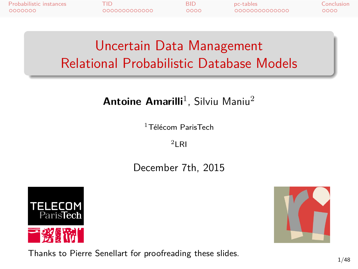Probabilistic instances TID BID pc-tables Conclusion

Uncertain Data Management Relational Probabilistic Database Models

#### **Antoine Amarilli**<sup>1</sup>, Silviu Maniu<sup>2</sup>

<sup>1</sup>Télécom ParisTech

 $2$ LRI

December 7th, 2015





Thanks to Pierre Senellart for proofreading these slides.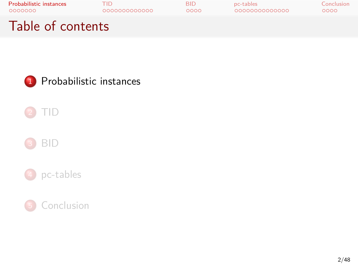

BID

pc-tables

Conclusion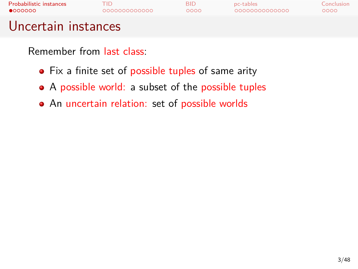

- Fix a finite set of possible tuples of same arity
- A possible world: a subset of the possible tuples
- An uncertain relation: set of possible worlds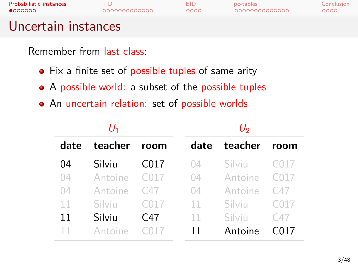Probabilistic instances TID BID pc-tables Conclusion

### Uncertain instances

- Fix a finite set of possible tuples of same arity
- A possible world: a subset of the possible tuples
- An uncertain relation: set of possible worlds

|      | U1      |                  | $U_2$ |         |                  |  |
|------|---------|------------------|-------|---------|------------------|--|
| date | teacher | room             | date  | teacher | room             |  |
| 04   | Silviu  | C <sub>017</sub> | 04    | Silviu  | C <sub>017</sub> |  |
| 04   | Antoine | C017             | 04    | Antoine | C <sub>017</sub> |  |
| 04   | Antoine | C47              | 04    | Antoine | C47              |  |
| 11   | Silviu  | C <sub>017</sub> | 11    | Silviu  | C <sub>017</sub> |  |
| 11   | Silviu  | C47              | 11    | Silviu  | C47              |  |
| 11   | Antoine |                  | 11    | Antoine | C017             |  |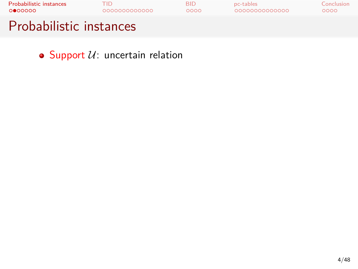

 $\bullet$  Support  $\mathcal{U}$ : uncertain relation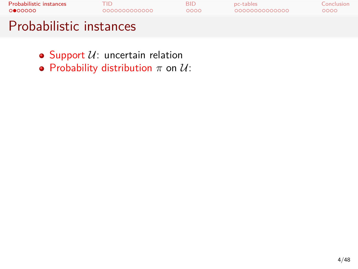

- $\bullet$  Support  $\mathcal{U}$ : uncertain relation
- Probability distribution *π* on *U*: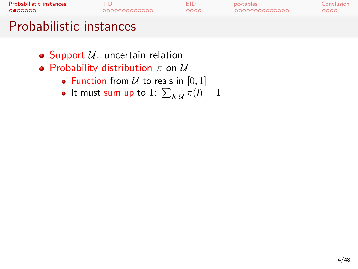### Probabilistic instances TID BID pc-tables Conclusion Probabilistic instances

- $\bullet$  Support  $\mathcal{U}$ : uncertain relation
- Probability distribution *π* on *U*:
	- Function from  $U$  to reals in  $[0, 1]$
	- It must sum up to 1:  $\sum_{l \in \mathcal{U}} \pi(l) = 1$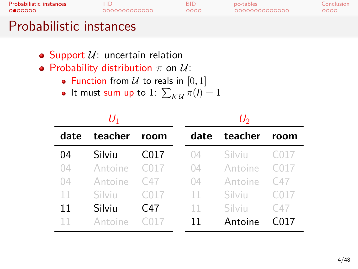### Probabilistic instances TID BID pc-tables Conclusion

### Probabilistic instances

- $\bullet$  Support  $\mathcal{U}$ : uncertain relation
- Probability distribution *π* on *U*:
	- Function from  $U$  to reals in  $[0, 1]$
	- It must sum up to 1:  $\sum_{l \in \mathcal{U}} \pi(l) = 1$

| U1   |         |                  |      | U2      |                  |  |  |
|------|---------|------------------|------|---------|------------------|--|--|
| date | teacher | room             | date | teacher | room             |  |  |
| 04   | Silviu  | C <sub>017</sub> | 04   | Silviu  | C <sub>017</sub> |  |  |
| 04   | Antoine | C017             | 04   | Antoine | C017             |  |  |
| 04   | Antoine | C47              | 04   | Antoine | C47              |  |  |
| 11   | Silviu  | C <sub>017</sub> | 11   | Silviu  | C <sub>017</sub> |  |  |
| 11   | Silviu  | C47              | 11   | Silviu  | C47              |  |  |
|      | Antoine |                  | 11   | Antoine | 017              |  |  |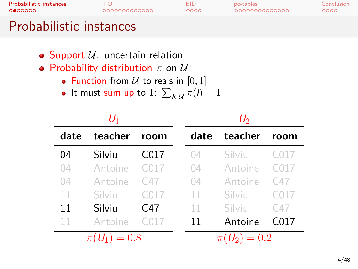### Probabilistic instances TID BID pc-tables Conclusion

### Probabilistic instances

- $\bullet$  Support  $\mathcal{U}$ : uncertain relation
- Probability distribution *π* on *U*:
	- Function from  $U$  to reals in  $[0, 1]$
	- It must sum up to 1:  $\sum_{l \in \mathcal{U}} \pi(l) = 1$

| $U_1$          |         |                  |      | $\mathit{U}_2$ |                  |  |  |
|----------------|---------|------------------|------|----------------|------------------|--|--|
| date           | teacher | room             | date | teacher        | room             |  |  |
| 04             | Silviu  | C <sub>017</sub> | 04   | Silviu         | C <sub>017</sub> |  |  |
| 04             | Antoine | C017             | 04   | Antoine        | C <sub>017</sub> |  |  |
| 04             | Antoine | C47              | 04   | Antoine        | C47              |  |  |
| 11             | Silviu  | C <sub>017</sub> | 11   | Silviu         | C <sub>017</sub> |  |  |
| 11             | Silviu  | C47              | 11   | Silviu         | C47              |  |  |
| 11             | Antoine | C017             | 11   | Antoine        | C017             |  |  |
| $\pi(U_1)=0.8$ |         |                  |      | $\pi(U_2)=0.2$ |                  |  |  |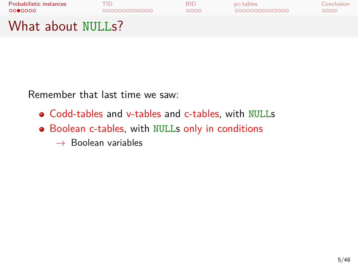

Remember that last time we saw:

- Codd-tables and v-tables and c-tables, with NULLs
- Boolean c-tables, with NULLs only in conditions
	- *→* Boolean variables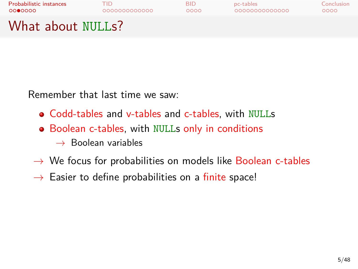

Remember that last time we saw:

- Codd-tables and v-tables and c-tables, with NULLs
- Boolean c-tables, with NULLs only in conditions
	- *→* Boolean variables
- *→* We focus for probabilities on models like Boolean c-tables
- *→* Easier to define probabilities on a finite space!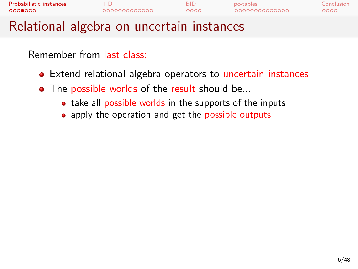| Probabilistic instances | 000000000000 | BID  | pc-tables      | Conclusion |  |
|-------------------------|--------------|------|----------------|------------|--|
| 0000000                 |              | റററെ | 00000000000000 | 0000       |  |
| n 1                     |              |      |                |            |  |

- Extend relational algebra operators to uncertain instances
- The possible worlds of the result should be...
	- take all possible worlds in the supports of the inputs
	- apply the operation and get the possible outputs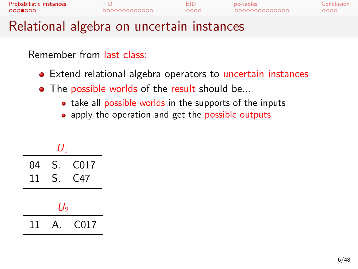| Probabilistic instances | 000000000000 | RID  | pc-tables      | Conclusion |
|-------------------------|--------------|------|----------------|------------|
| 0000000                 |              | റററെ | 00000000000000 | 0000       |
| <b>DUAL ST</b>          |              |      |                |            |

- Extend relational algebra operators to uncertain instances
- The possible worlds of the result should be...
	- take all possible worlds in the supports of the inputs
	- apply the operation and get the possible outputs

| $U_1$ |    |      |  |  |  |  |
|-------|----|------|--|--|--|--|
| 04    | S. | C017 |  |  |  |  |
| 11    | S. | C47  |  |  |  |  |
| $U_2$ |    |      |  |  |  |  |
| 11    |    | C017 |  |  |  |  |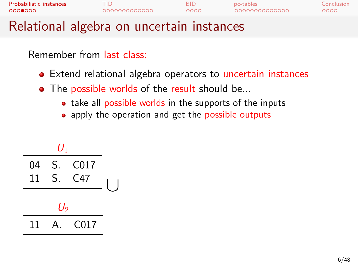| Probabilistic instances | 000000000000 | BID  | pc-tables      | Conclusion |  |
|-------------------------|--------------|------|----------------|------------|--|
| 0000000                 |              | റററെ | 00000000000000 | 0000       |  |
| n 1                     |              |      |                |            |  |

- Extend relational algebra operators to uncertain instances
- The possible worlds of the result should be...
	- take all possible worlds in the supports of the inputs
	- apply the operation and get the possible outputs

|    | $U_1$ |      |  |
|----|-------|------|--|
| 04 | S.    | C017 |  |
| 11 | S.    | C47  |  |
|    |       |      |  |
|    | $U_2$ |      |  |
| 11 |       | C017 |  |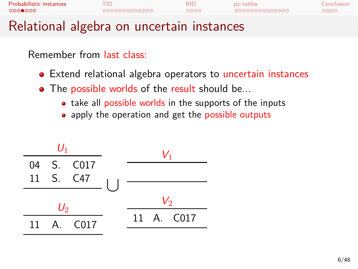| 0000000                 | 000000000000<br>Delettenel eludioenen meestatu tuetaansaa | ററററ | 00000000000000 | ററററ       |
|-------------------------|-----------------------------------------------------------|------|----------------|------------|
| Probabilistic instances |                                                           | RID  | pc-tables      | Conclusion |

- Extend relational algebra operators to uncertain instances
- The possible worlds of the result should be...
	- take all possible worlds in the supports of the inputs
	- apply the operation and get the possible outputs

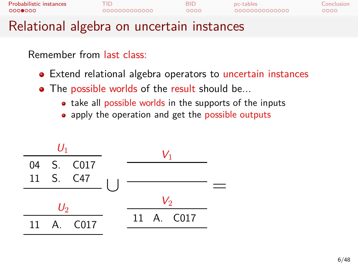| 0000000                 | 000000000000<br>Delettenel eludioenen meestatu tuetaansaa | ററററ | 00000000000000 | ററററ       |
|-------------------------|-----------------------------------------------------------|------|----------------|------------|
| Probabilistic instances |                                                           | RID  | pc-tables      | Conclusion |

- Extend relational algebra operators to uncertain instances
- The possible worlds of the result should be...
	- take all possible worlds in the supports of the inputs
	- apply the operation and get the possible outputs

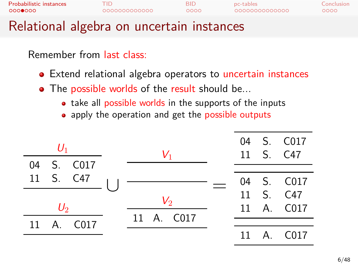| Probabilistic instances                    | 000000000000 | RID. | pc-tables      | Conclusion |
|--------------------------------------------|--------------|------|----------------|------------|
| 0000000                                    |              | റററെ | 00000000000000 | ററററ       |
| Delettenel eluebus en consentato tuetenese |              |      |                |            |

- Extend relational algebra operators to uncertain instances
- The possible worlds of the result should be...
	- take all possible worlds in the supports of the inputs
		- apply the operation and get the possible outputs

| $U_1$ |            |  | $V_1$           |            |  | 04 S. C017<br>11 S. C47 |
|-------|------------|--|-----------------|------------|--|-------------------------|
|       | 04 S. C017 |  |                 |            |  |                         |
|       | 11 S. C47  |  |                 |            |  | 04 S. C017              |
|       |            |  | $\mathcal{V}_2$ |            |  | 11 S. C47               |
| $U_2$ |            |  |                 |            |  | 11 A. C017              |
|       | 11 A. C017 |  |                 | 11 A. C017 |  |                         |
|       |            |  |                 |            |  | 11 A. C017              |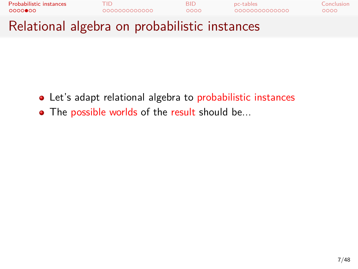

- Let's adapt relational algebra to probabilistic instances
- The possible worlds of the result should be...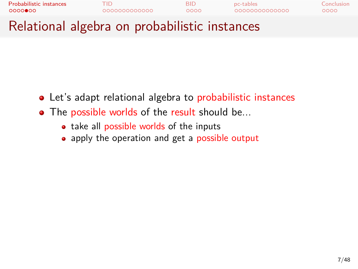

- Let's adapt relational algebra to probabilistic instances
- The possible worlds of the result should be...
	- take all possible worlds of the inputs
	- apply the operation and get a possible output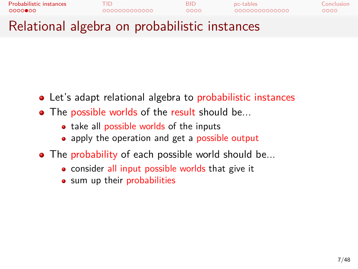

- Let's adapt relational algebra to probabilistic instances
- The possible worlds of the result should be...
	- take all possible worlds of the inputs
	- apply the operation and get a possible output
- The probability of each possible world should be...
	- consider all input possible worlds that give it
	- sum up their probabilities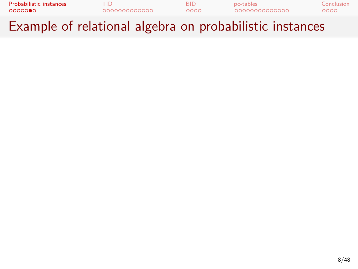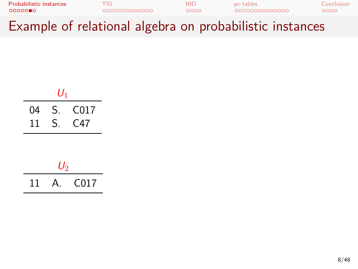| Probabilistic instances | 000000000000 | BID  | pc-tables     | Conclusion |
|-------------------------|--------------|------|---------------|------------|
| 0000000                 |              | റററെ | 0000000000000 | 0000       |
| -                       |              |      |               |            |

Example of relational algebra on probabilistic instances

|    | $U_1$ |      |  |  |  |  |
|----|-------|------|--|--|--|--|
| 04 | S.    | C017 |  |  |  |  |
| 11 | S.    | C47  |  |  |  |  |
|    |       |      |  |  |  |  |

| 11. | $\overline{A}$ | C <sub>017</sub> |
|-----|----------------|------------------|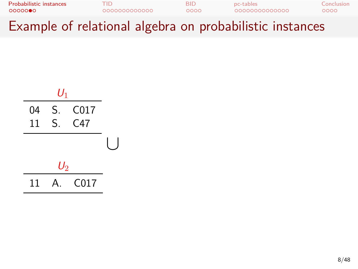



*∪*

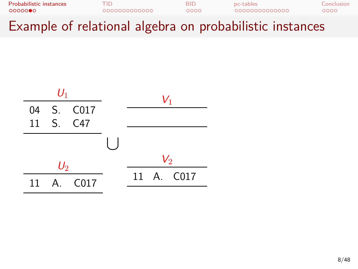

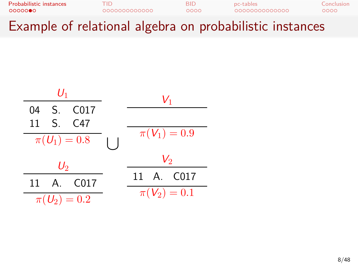| Probabilistic instances | חוז           | <b>BID</b> | pc-tables      | Conclusion |
|-------------------------|---------------|------------|----------------|------------|
| 0000000                 | 0000000000000 | റററെ       | 00000000000000 | 0000       |
| -                       | .             |            |                |            |

| $U_1$            | $V_1$ |      |
|------------------|-------|------|
| 04               | S.    | C017 |
| 11               | S.    | C47  |
| $\pi(U_1) = 0.8$ |       |      |
| $U_2$            | $U_2$ |      |
| 11               | A.    | C017 |
| $\pi(U_2) = 0.2$ |       |      |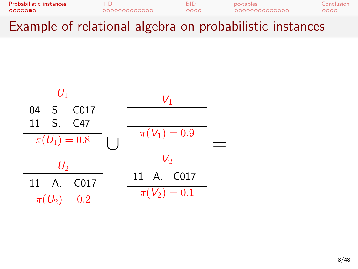| Probabilistic instances | TID.          | RID  | pc-tables      | Conclusion |
|-------------------------|---------------|------|----------------|------------|
| 0000000                 | 0000000000000 | റററെ | 00000000000000 | ററററ       |
| -                       | .             |      | .              |            |

$$
\begin{array}{c|c}\n\hline\nU_1 & & & & V_1 \\
\hline\n04 & S. \quad C017 & & & \n\hline\n11 & S. \quad C47 & & & \n\hline\n\pi(U_1) = 0.8 & & & \n\hline\n\end{array}\n\qquad\n\begin{array}{c}\n\hline\nU_1 & & & \n\hline\n\pi(V_1) = 0.9 \\
\hline\n\pi(V_2) = 0.2\n\end{array}\n\qquad\n\begin{array}{c}\n\hline\nU_2 & & & \n\hline\n\pi(V_2) = 0.1\n\end{array}\n\qquad\n\begin{array}{c}\n\hline\n\end{array}\n\qquad\n\begin{array}{c}\n\hline\n\pi(V_2) = 0.1\n\end{array}
$$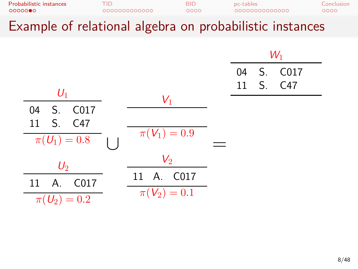| $\overline{\phantom{a}}$ |               |      | .              |            |
|--------------------------|---------------|------|----------------|------------|
| 0000000                  | 0000000000000 | 0000 | 00000000000000 | ೦೦೦೦       |
| Probabilistic instances  | TID           | BID. | pc-tables      | Conclusion |

|                  |                  |  | $W_1$      |
|------------------|------------------|--|------------|
|                  |                  |  | 04 S. C017 |
| $U_1$            |                  |  | 11 S. C47  |
|                  | $V_1$            |  |            |
| 04<br>S. C017    |                  |  |            |
| 11 S. C47        |                  |  |            |
| $\pi(U_1) = 0.8$ | $\pi(V_1)=0.9$   |  |            |
| $U_2$            | $V_{2}$          |  |            |
|                  | 11 A. C017       |  |            |
| 11 A. C017       | $\pi(V_2) = 0.1$ |  |            |
| $\pi(U_2)=0.2$   |                  |  |            |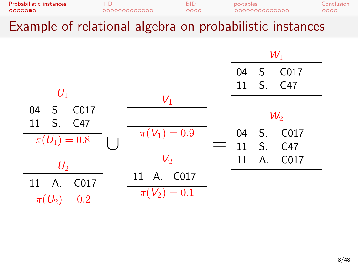| $\overline{\phantom{a}}$           |                     |             | .                          |                    |
|------------------------------------|---------------------|-------------|----------------------------|--------------------|
| Probabilistic instances<br>0000000 | TID<br>000000000000 | BID<br>0000 | pc-tables<br>0000000000000 | Conclusion<br>0000 |
|                                    |                     |             |                            |                    |

|                              |                  |     | $W_1$ |                |            |
|------------------------------|------------------|-----|-------|----------------|------------|
|                              |                  |     |       |                | 04 S. C017 |
| $U_1$                        |                  |     |       |                | 11 S. C47  |
| S. C017<br>04                | $V_1$            |     |       |                |            |
| 11 S. C47                    |                  |     |       |                | $W_2$      |
| $\pi(U_1)=0.8$               | $\pi(V_1)=0.9$   |     | 04    | S <sub>1</sub> | C017       |
|                              |                  | $=$ |       |                | 11 S. C47  |
| $U_2$                        | $\mathcal{V}_2$  |     | 11    |                | A. C017    |
| A.<br>C <sub>017</sub><br>11 | 11 A. C017       |     |       |                |            |
| $\pi(U_2)=0.2$               | $\pi(V_2) = 0.1$ |     |       |                |            |
|                              |                  |     |       |                |            |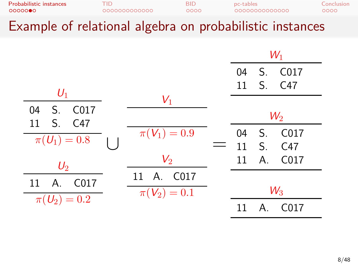|                  |                | $W_1$ |             |                  |
|------------------|----------------|-------|-------------|------------------|
|                  |                | 04    |             | S. C017          |
| $U_1$            |                |       |             | 11 S. C47        |
|                  | $V_1$          |       |             |                  |
| S. C017<br>04    |                |       |             | $W_2$            |
| S. C47<br>11     |                |       |             |                  |
| $\pi(U_1)=0.8$   | $\pi(V_1)=0.9$ | 04    | $S$ .       | C017             |
|                  |                | 11    | $S_{\cdot}$ | C <sub>47</sub>  |
| $U_2$            | $V_{2}$        | 11    | A.          | C017             |
|                  | 11 A. C017     |       |             |                  |
| A.<br>C017<br>11 | $\pi(V_2)=0.1$ |       |             | $W_3$            |
| $\pi(U_2) = 0.2$ |                | 11    | Α.          | C <sub>017</sub> |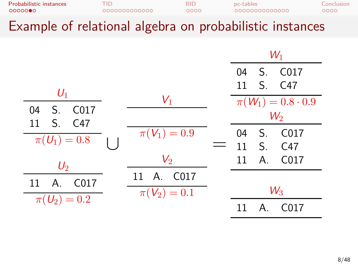| 0000000                 | 000000000000 | റററെ | 00000000000000 | 0000       |
|-------------------------|--------------|------|----------------|------------|
| Probabilistic instances | HГ           | BID  | pc-tables      | Conclusion |
|                         |              |      |                |            |

|                              |                |    |       | $W_1$                      |
|------------------------------|----------------|----|-------|----------------------------|
|                              |                | 04 |       | S. C017                    |
| $U_1$                        |                |    |       | 11 S. C47                  |
|                              | $V_1$          |    |       | $\pi(W_1) = 0.8 \cdot 0.9$ |
| S. C017<br>04                |                |    |       | $W_2$                      |
| S. C47<br>$11 \,$            |                |    |       |                            |
| $\pi(U_1)=0.8$               | $\pi(V_1)=0.9$ | 04 | $S$ . | C <sub>017</sub>           |
|                              |                | 11 |       | S. C47                     |
| $U_2$                        | $V_{2}$        | 11 | A.    | C017                       |
| A.<br>11<br>C <sub>017</sub> | 11 A. C017     |    |       |                            |
|                              | $\pi(V_2)=0.1$ |    |       | $W_3$                      |
| $\pi(U_2)=0.2$               |                | 11 | Α.    | C017                       |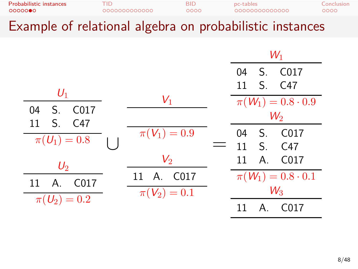| Probabilistic instances<br>0000000 | חו־<br>000000000000 | BID.<br>0000 | pc-tables<br>0000000000000 | Conclusion |
|------------------------------------|---------------------|--------------|----------------------------|------------|
|                                    |                     |              |                            | ೦೦೦೦       |
|                                    |                     |              | .                          |            |

|                               |                  |    |         | $W_1$                      |
|-------------------------------|------------------|----|---------|----------------------------|
|                               |                  | 04 |         | S. C017                    |
| $U_1$                         |                  |    |         | 11 S. C47                  |
|                               | $V_1$            |    |         | $\pi(W_1) = 0.8 \cdot 0.9$ |
| S. C017<br>04                 |                  |    |         | $W_2$                      |
| S. C47<br>11                  |                  |    |         |                            |
| $\pi(U_1)=0.8$                | $\pi(V_1)=0.9$   | 04 | $S$ .   | C <sub>017</sub>           |
|                               |                  | 11 |         | S. C47                     |
| $U_2$                         | $V_{2}$          | 11 |         | A. C017                    |
| A.<br>11<br>C <sub>0</sub> 17 | 11 A. C017       |    |         | $\pi(W_1) = 0.8 \cdot 0.1$ |
|                               | $\pi(V_2) = 0.1$ |    |         | $W_3$                      |
| $\pi(U_2)=0.2$                |                  | 11 | $A_{1}$ | C <sub>017</sub>           |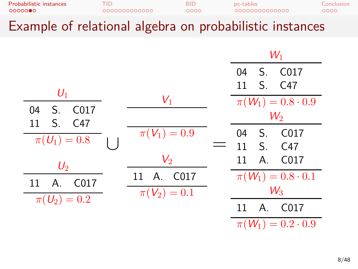| $\overline{\phantom{a}}$ |               |      | .              |            |
|--------------------------|---------------|------|----------------|------------|
| 0000000                  | 0000000000000 | 0000 | 00000000000000 | 0000       |
| Probabilistic instances  | "ID           | BID  | pc-tables      | Conclusion |

|                                  |                  | $W_1$                           |
|----------------------------------|------------------|---------------------------------|
|                                  |                  | C <sub>017</sub><br>$S$ .<br>04 |
| $U_1$                            |                  | S. C47<br>11                    |
|                                  | $V_1$            | $\pi(W_1) = 0.8 \cdot 0.9$      |
| C017<br>04<br>S.<br>S. C47<br>11 |                  | $W_2$                           |
|                                  | $\pi(V_1)=0.9$   | C <sub>0</sub> 17<br>04<br>S.   |
| $\pi(U_1)=0.8$                   |                  | S <sub>1</sub><br>C47<br>11     |
| $U_2$                            | $V_{2}$          | C017<br>A.<br>11                |
| C <sub>017</sub><br>А.<br>11     | 11 A. C017       | $\pi(W_1) = 0.8 \cdot 0.1$      |
|                                  | $\pi(V_2) = 0.1$ | $W_3$                           |
| $\pi(U_2) = 0.2$                 |                  | Α.<br>C <sub>017</sub><br>11    |
|                                  |                  | $\pi(W_1) = 0.2 \cdot 0.9$      |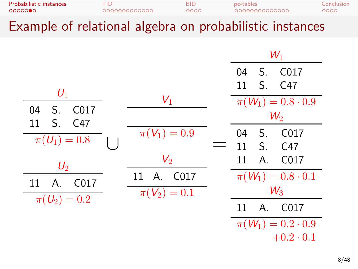| $\overline{\phantom{a}}$           |                      |              | .                           |                    |
|------------------------------------|----------------------|--------------|-----------------------------|--------------------|
| Probabilistic instances<br>0000000 | ⊤ID.<br>000000000000 | BID.<br>0000 | pc-tables<br>00000000000000 | Conclusion<br>0000 |
|                                    |                      |              |                             |                    |

|                                                 |                  | $W_1$                        |
|-------------------------------------------------|------------------|------------------------------|
|                                                 |                  | C017<br>S.<br>04             |
| $U_1$                                           |                  | S. C47<br>11                 |
|                                                 | $V_1$            | $\pi(W_1) = 0.8 \cdot 0.9$   |
| 04<br>C <sub>017</sub><br>S.<br>S.<br>C47<br>11 |                  | $W_2$                        |
|                                                 | $\pi(V_1)=0.9$   | C017<br>S.<br>04             |
| $\pi(U_1)=0.8$                                  |                  | $S_{1}$<br>C47<br>11         |
| $U_2$                                           | $V_{2}$          | C017<br>Α.<br>11             |
| C017<br>11<br>A.                                | A. C017<br>11    | $\pi(W_1) = 0.8 \cdot 0.1$   |
|                                                 | $\pi(V_2) = 0.1$ | $W_3$                        |
| $\pi(U_2)=0.2$                                  |                  | C <sub>017</sub><br>A.<br>11 |
|                                                 |                  | $\pi(W_1) = 0.2 \cdot 0.9$   |
|                                                 |                  | $+0.2 \cdot 0.1$             |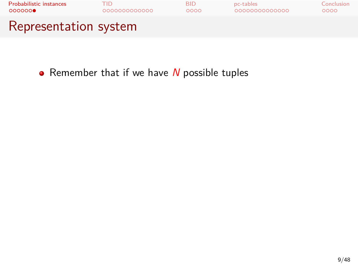

Remember that if we have *N* possible tuples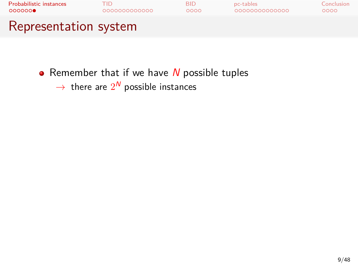

- Remember that if we have *N* possible tuples
	- $\rightarrow$  there are  $2^N$  possible instances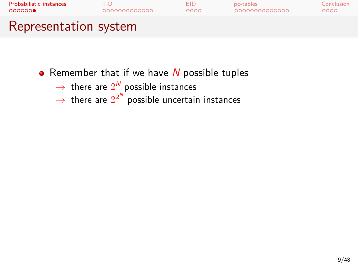

- Remember that if we have *N* possible tuples
	- → there are  $2^N$  possible instances
	- $\rightarrow$  there are  $2^{2^N}$  possible uncertain instances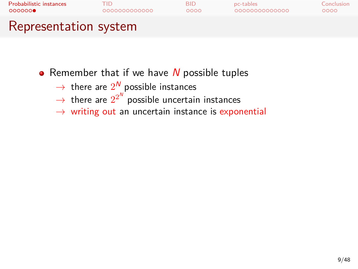

- **•** Remember that if we have *N* possible tuples
	- $\rightarrow$  there are  $2^N$  possible instances
	- $\rightarrow$  there are  $2^{2^N}$  possible uncertain instances
	- *→* writing out an uncertain instance is exponential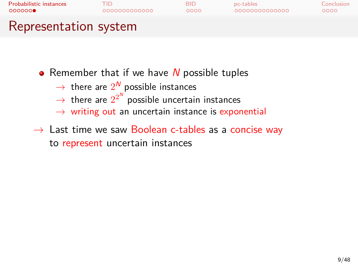

- **•** Remember that if we have *N* possible tuples
	- $\rightarrow$  there are  $2^N$  possible instances
	- $\rightarrow$  there are  $2^{2^N}$  possible uncertain instances
	- *→* writing out an uncertain instance is exponential
- *→* Last time we saw Boolean c-tables as a concise way to represent uncertain instances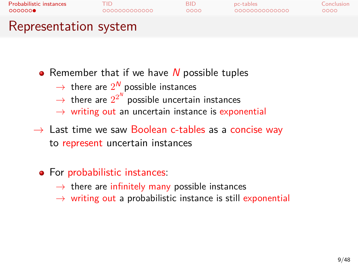## Probabilistic instances TID BID pc-tables Conclusion Representation system

- **•** Remember that if we have *N* possible tuples
	- $\rightarrow$  there are  $2^N$  possible instances
	- $\rightarrow$  there are  $2^{2^N}$  possible uncertain instances
	- *→* writing out an uncertain instance is exponential
- *→* Last time we saw Boolean c-tables as a concise way to represent uncertain instances

## For probabilistic instances:

- *→* there are infinitely many possible instances
- *→* writing out a probabilistic instance is still exponential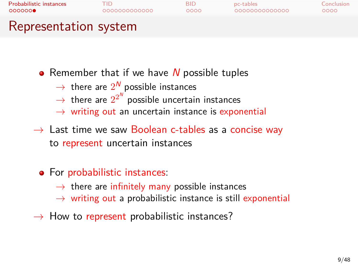## Probabilistic instances TID BID pc-tables Conclusion Representation system

- **•** Remember that if we have *N* possible tuples
	- $\rightarrow$  there are  $2^N$  possible instances
	- $\rightarrow$  there are  $2^{2^N}$  possible uncertain instances
	- *→* writing out an uncertain instance is exponential
- *→* Last time we saw Boolean c-tables as a concise way to represent uncertain instances

## For probabilistic instances:

- *→* there are infinitely many possible instances
- *→* writing out a probabilistic instance is still exponential
- *→* How to represent probabilistic instances?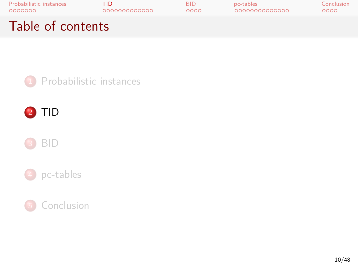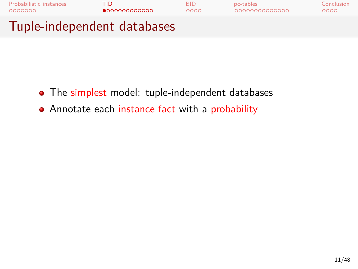

- The simplest model: tuple-independent databases
- Annotate each instance fact with a probability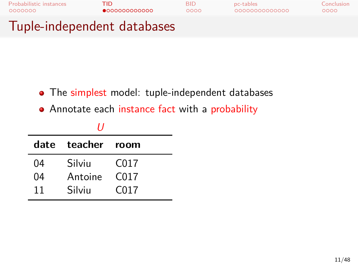

- The simplest model: tuple-independent databases
- Annotate each instance fact with a probability

|    | 11                |                  |
|----|-------------------|------------------|
|    | date teacher room |                  |
| 04 | Silviu            | C017             |
| 04 | Antoine           | C <sub>017</sub> |
| 11 | Silviu            | C017             |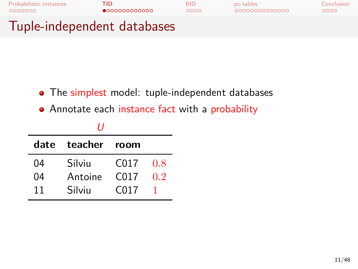

- The simplest model: tuple-independent databases
- Annotate each instance fact with a probability

|    | date teacher room |                  |     |  |  |  |  |  |
|----|-------------------|------------------|-----|--|--|--|--|--|
| 04 | Silviu            | C <sub>017</sub> | 0.8 |  |  |  |  |  |
| 04 | Antoine           | C <sub>017</sub> | 02  |  |  |  |  |  |
| 11 | Silviu            | C <sub>017</sub> |     |  |  |  |  |  |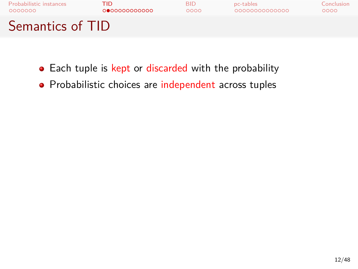

- Each tuple is kept or discarded with the probability
- Probabilistic choices are independent across tuples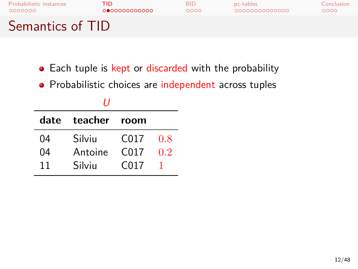- Each tuple is kept or discarded with the probability
- Probabilistic choices are independent across tuples

|    | date teacher room |                  |     |  |  |  |  |
|----|-------------------|------------------|-----|--|--|--|--|
| 04 | Silviu            | C017             | 0.8 |  |  |  |  |
| 04 | Antoine           | C <sub>017</sub> | 0.2 |  |  |  |  |
| 11 | Silviu            | C <sub>017</sub> |     |  |  |  |  |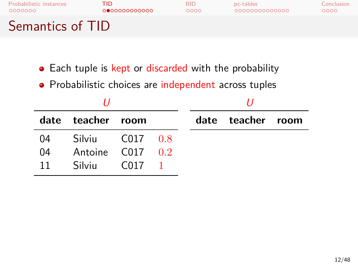- Each tuple is kept or discarded with the probability
- Probabilistic choices are independent across tuples

|    | date teacher room    |      |  | date teacher room |  |
|----|----------------------|------|--|-------------------|--|
| 04 | Silviu C017 0.8      |      |  |                   |  |
| 04 | Antoine $CO17$ $0.2$ |      |  |                   |  |
| 11 | Silviu               | C017 |  |                   |  |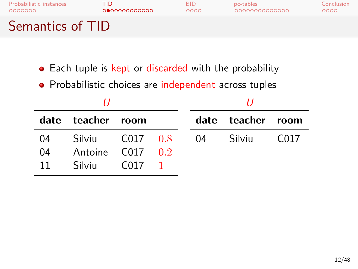- Each tuple is kept or discarded with the probability
- Probabilistic choices are independent across tuples

|    | date teacher room     |               |  |    | date teacher room |      |  |
|----|-----------------------|---------------|--|----|-------------------|------|--|
| 04 | Silviu                | $C_{017}$ 0.8 |  | 04 | Silviu            | C017 |  |
| 04 | Antoine $C_{0.2}$ 0.2 |               |  |    |                   |      |  |
| 11 | Silviu                | C017          |  |    |                   |      |  |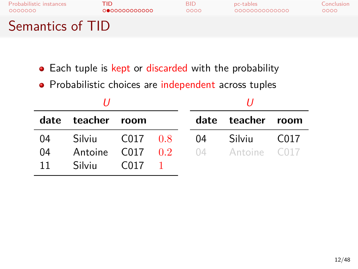- Each tuple is kept or discarded with the probability
- Probabilistic choices are independent across tuples

|    | date teacher room         |      |  |  | date teacher room                                    |        |
|----|---------------------------|------|--|--|------------------------------------------------------|--------|
| 04 | Silviu C017 0.8 04 Silviu |      |  |  |                                                      | - C017 |
| 04 |                           |      |  |  | <b>Antoine C017 <math>0.2</math></b> 04 Antoine C017 |        |
| 11 | Silviu                    | C017 |  |  |                                                      |        |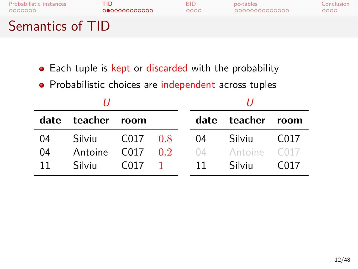# Probabilistic instances TID BID pc-tables Conclusion

## Semantics of TID

- Each tuple is kept or discarded with the probability
- Probabilistic choices are independent across tuples

|    | date teacher room    |                  |           |    | date teacher room |                   |
|----|----------------------|------------------|-----------|----|-------------------|-------------------|
| 04 | Silviu               | $C_{0}17$ 0.8    |           | 04 | Silviu            | C <sub>0</sub> 17 |
| 04 | Antoine $CO17$ $0.2$ |                  |           | 04 | Antoine C017      |                   |
| 11 | Silviu               | C <sub>017</sub> | $\sim$ 1. | 11 | Silviu            | C <sub>017</sub>  |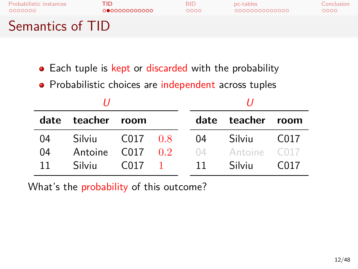- Each tuple is kept or discarded with the probability
- Probabilistic choices are independent across tuples

| date | teacher room         |               |          |    | date teacher room |                  |
|------|----------------------|---------------|----------|----|-------------------|------------------|
| 04   | Silviu               | $C_{017}$ 0.8 |          | 04 | Silviu            | C017             |
| 04   | Antoine $CO17$ $0.2$ |               |          | 04 | Antoine C017      |                  |
| 11   | Silviu               | C017          | $\sim 1$ | 11 | Silviu            | C <sub>017</sub> |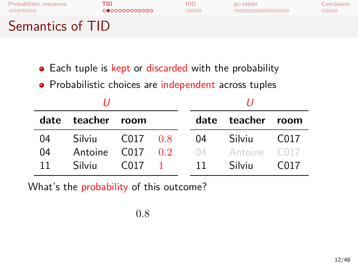- Each tuple is kept or discarded with the probability
- Probabilistic choices are independent across tuples

|    | date teacher room    |               |    | date teacher room |                  |
|----|----------------------|---------------|----|-------------------|------------------|
| 04 | Silviu               | $C_{017}$ 0.8 | 04 | Silviu            | C017             |
| 04 | Antoine $CO17$ $0.2$ |               |    | 04 Antoine C017   |                  |
| 11 | Silviu               | $C_{017}$ 1   | 11 | Silviu            | C <sub>017</sub> |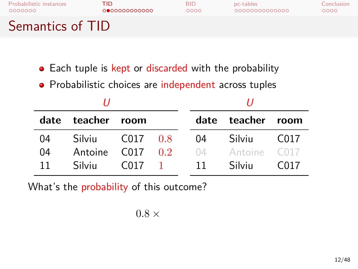- Each tuple is kept or discarded with the probability
- Probabilistic choices are independent across tuples

|    | date teacher room    |               |    | date teacher room |                  |
|----|----------------------|---------------|----|-------------------|------------------|
| 04 | Silviu               | $C_{017}$ 0.8 | 04 | Silviu            | C017             |
| 04 | Antoine $CO17$ $0.2$ |               |    | 04 Antoine C017   |                  |
| 11 | Silviu               | $C_{017}$ 1   | 11 | Silviu            | C <sub>017</sub> |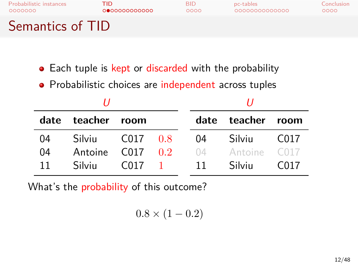- Each tuple is kept or discarded with the probability
- Probabilistic choices are independent across tuples

|    | date teacher room    |               |                |    | date teacher room |                  |
|----|----------------------|---------------|----------------|----|-------------------|------------------|
| 04 | Silviu               | $C_{017}$ 0.8 |                | 04 | Silviu            | C017             |
| 04 | Antoine $CO17$ $0.2$ |               |                | 04 | Antoine C017      |                  |
| 11 | Silviu               | C017          | $\blacksquare$ | 11 | Silviu            | C <sub>017</sub> |

$$
0.8 \times (1 - 0.2)
$$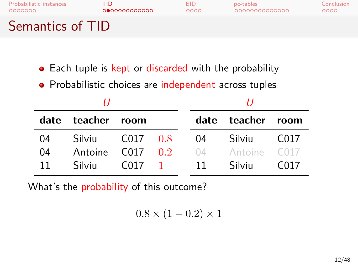- Each tuple is kept or discarded with the probability
- Probabilistic choices are independent across tuples

|    | date teacher room    |               |      | date teacher room |                  |
|----|----------------------|---------------|------|-------------------|------------------|
| 04 | Silviu               | $C_{017}$ 0.8 | 04   | Silviu            | C017             |
| 04 | Antoine $CO17$ $0.2$ |               | 04   | Antoine C017      |                  |
| 11 | Silviu               | $C_{017}$ 1   | - 11 | Silviu            | C <sub>017</sub> |

$$
0.8 \times (1 - 0.2) \times 1
$$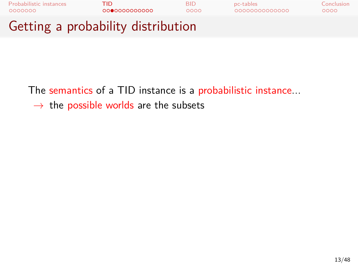

*→* the possible worlds are the subsets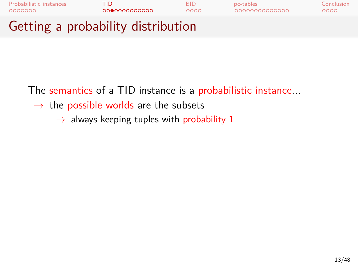

*→* the possible worlds are the subsets

*→* always keeping tuples with probability 1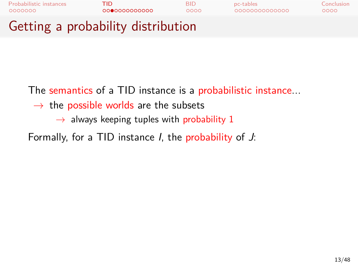

*→* the possible worlds are the subsets

*→* always keeping tuples with probability 1

Formally, for a TID instance *I*, the probability of *J*: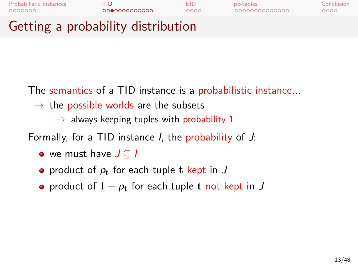

*→* the possible worlds are the subsets

*→* always keeping tuples with probability 1

Formally, for a TID instance *I*, the probability of *J*:

- we must have *J ⊆ I*
- product of  $p_t$  for each tuple **t** kept in  $J$
- product of 1 *− p***<sup>t</sup>** for each tuple **t** not kept in *J*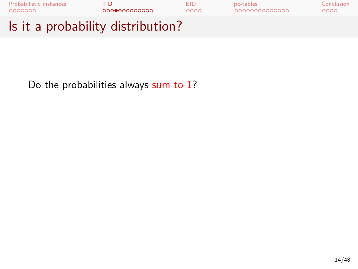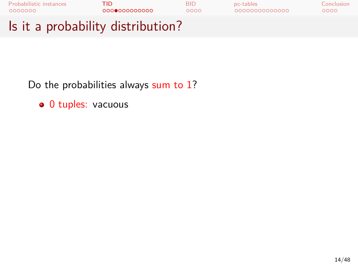

· 0 tuples: vacuous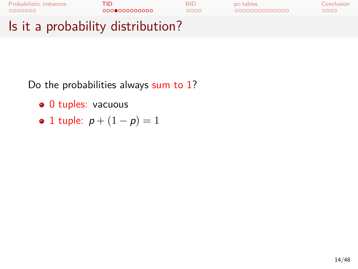

- · 0 tuples: vacuous
- 1 tuple: *p* + (1 *− p*) = 1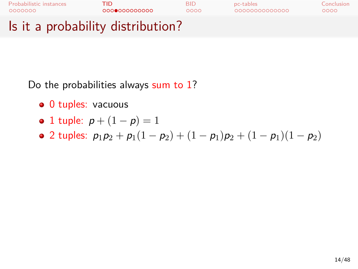

- · 0 tuples: vacuous
- 1 tuple: *p* + (1 *− p*) = 1
- $\bullet$  2 tuples:  $p_1p_2 + p_1(1-p_2) + (1-p_1)p_2 + (1-p_1)(1-p_2)$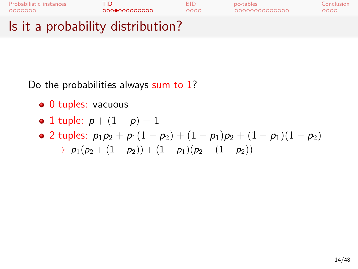

- · 0 tuples: vacuous
- 1 tuple: *p* + (1 *− p*) = 1
- 2 tuples: *p*1*p*<sup>2</sup> + *p*1(1 *− p*2) + (1 *− p*1)*p*<sup>2</sup> + (1 *− p*1)(1 *− p*2)
- $\rightarrow$   $p_1(p_2 + (1-p_2)) + (1-p_1)(p_2 + (1-p_2))$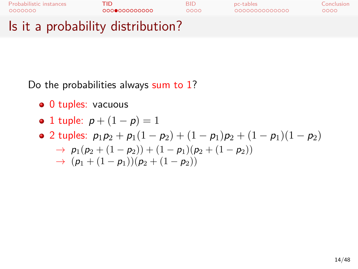

- · 0 tuples: vacuous
- 1 tuple: *p* + (1 *− p*) = 1
- 2 tuples: *p*1*p*<sup>2</sup> + *p*1(1 *− p*2) + (1 *− p*1)*p*<sup>2</sup> + (1 *− p*1)(1 *− p*2)
	- $\rightarrow$  *p*<sub>1</sub>( $p_2$  + (1 *− p*<sub>2</sub>)) + (1 *− p*<sub>1</sub>)( $p_2$  + (1 *− p*<sub>2</sub>))  $\rightarrow$   $(p_1 + (1 - p_1))(p_2 + (1 - p_2))$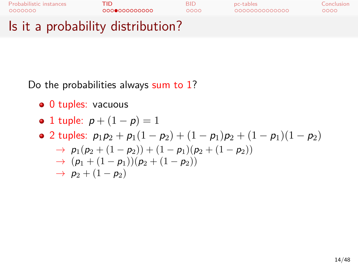

- · 0 tuples: vacuous
- 1 tuple: *p* + (1 *− p*) = 1
- 2 tuples: *p*1*p*<sup>2</sup> + *p*1(1 *− p*2) + (1 *− p*1)*p*<sup>2</sup> + (1 *− p*1)(1 *− p*2)
	- $\rightarrow$  *p*<sub>1</sub>( $p_2$  + (1 *− p*<sub>2</sub>)) + (1 *− p*<sub>1</sub>)( $p_2$  + (1 *− p*<sub>2</sub>))
	- *→* (*p*<sup>1</sup> + (1 *− p*1))(*p*<sup>2</sup> + (1 *− p*2))
	- $\rightarrow$  *p*<sub>2</sub> + (1 *− p*<sub>2</sub>)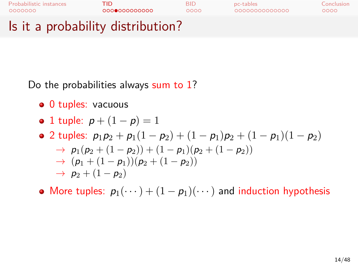

- 0 tuples: vacuous
- 1 tuple: *p* + (1 *− p*) = 1
- 2 tuples: *p*1*p*<sup>2</sup> + *p*1(1 *− p*2) + (1 *− p*1)*p*<sup>2</sup> + (1 *− p*1)(1 *− p*2) *→ p*1(*p*<sup>2</sup> + (1 *− p*2)) + (1 *− p*1)(*p*<sup>2</sup> + (1 *− p*2))
	- *→* (*p*<sup>1</sup> + (1 *− p*1))(*p*<sup>2</sup> + (1 *− p*2))
		- *→ p*<sup>2</sup> + (1 *− p*2)
- More tuples:  $p_1(\dots) + (1 p_1)(\dots)$  and induction hypothesis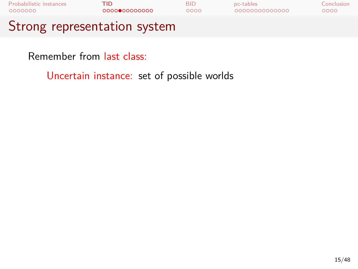

Remember from last class:

Uncertain instance: set of possible worlds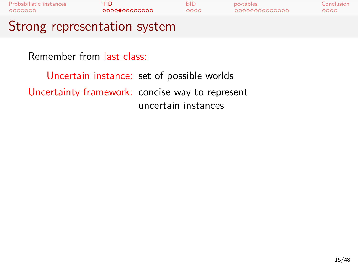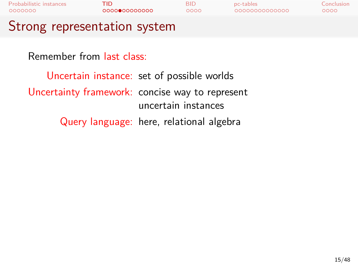| Probabilistic instances<br>0000000              | TID<br>000000000000 |                     | <b>BID</b><br>0000                       | pc-tables<br>00000000000000 | Conclusion<br>0000 |  |  |  |
|-------------------------------------------------|---------------------|---------------------|------------------------------------------|-----------------------------|--------------------|--|--|--|
| Strong representation system                    |                     |                     |                                          |                             |                    |  |  |  |
| Remember from last class:                       |                     |                     |                                          |                             |                    |  |  |  |
| Uncertain instance: set of possible worlds      |                     |                     |                                          |                             |                    |  |  |  |
| Uncertainty framework: concise way to represent |                     | uncertain instances |                                          |                             |                    |  |  |  |
|                                                 |                     |                     | Query language: here, relational algebra |                             |                    |  |  |  |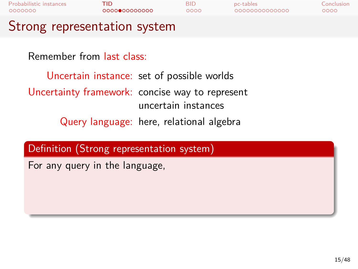| Probabilistic instances<br>0000000 | TID<br>000000000000                                                                                                                       | <b>BID</b><br>0000  | pc-tables<br>0000000000000 | Conclusion<br>ററററ |
|------------------------------------|-------------------------------------------------------------------------------------------------------------------------------------------|---------------------|----------------------------|--------------------|
| Strong representation system       |                                                                                                                                           |                     |                            |                    |
| Remember from last class:          | Uncertain instance: set of possible worlds<br>Uncertainty framework: concise way to represent<br>Query language: here, relational algebra | uncertain instances |                            |                    |
|                                    | Definition (Strong representation system)                                                                                                 |                     |                            |                    |
| For any query in the language,     |                                                                                                                                           |                     |                            |                    |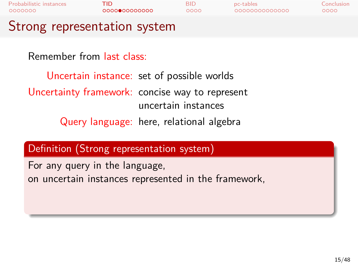| TID<br>000000000000            | <b>BID</b><br>0000 | pc-tables<br>0000000000000                                                | Conclusion<br>ററററ                                                                                                                                                                                                       |
|--------------------------------|--------------------|---------------------------------------------------------------------------|--------------------------------------------------------------------------------------------------------------------------------------------------------------------------------------------------------------------------|
|                                |                    |                                                                           |                                                                                                                                                                                                                          |
| Remember from last class:      |                    |                                                                           |                                                                                                                                                                                                                          |
|                                |                    |                                                                           |                                                                                                                                                                                                                          |
|                                |                    |                                                                           |                                                                                                                                                                                                                          |
| For any query in the language, |                    |                                                                           |                                                                                                                                                                                                                          |
|                                |                    | Strong representation system<br>Definition (Strong representation system) | Uncertain instance: set of possible worlds<br>Uncertainty framework: concise way to represent<br>uncertain instances<br>Query language: here, relational algebra<br>on uncertain instances represented in the framework, |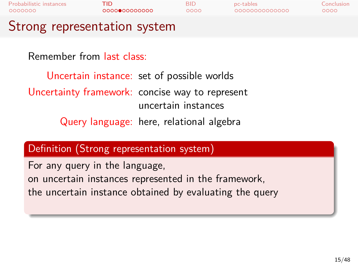| 0000000 | Probabilistic instances        | TID<br>0000000000000                                    | <b>BID</b><br>ററററ  | pc-tables<br>0000000000000 | Conclusion<br>ററററ |
|---------|--------------------------------|---------------------------------------------------------|---------------------|----------------------------|--------------------|
|         |                                | Strong representation system                            |                     |                            |                    |
|         | Remember from last class:      | Uncertain instance: set of possible worlds              |                     |                            |                    |
|         |                                | Uncertainty framework: concise way to represent         | uncertain instances |                            |                    |
|         |                                | Query language: here, relational algebra                |                     |                            |                    |
|         |                                | Definition (Strong representation system)               |                     |                            |                    |
|         | For any query in the language, |                                                         |                     |                            |                    |
|         |                                | on uncertain instances represented in the framework,    |                     |                            |                    |
|         |                                | the uncertain instance obtained by evaluating the query |                     |                            |                    |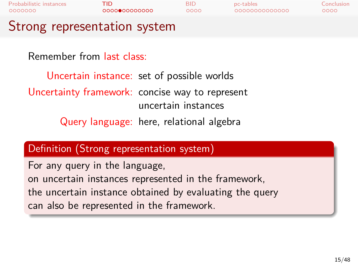| Probabilistic instances<br>0000000 | TID<br>000000000000                             | <b>BID</b><br>0000  | pc-tables<br>0000000000000 | Conclusion<br>0000 |
|------------------------------------|-------------------------------------------------|---------------------|----------------------------|--------------------|
| Strong representation system       |                                                 |                     |                            |                    |
| Remember from last class:          |                                                 |                     |                            |                    |
|                                    | Uncertain instance: set of possible worlds      |                     |                            |                    |
|                                    | Uncertainty framework: concise way to represent | uncertain instances |                            |                    |

Query language: here, relational algebra

### Definition (Strong representation system)

For any query in the language, on uncertain instances represented in the framework, the uncertain instance obtained by evaluating the query can also be represented in the framework.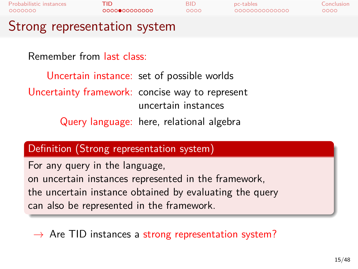| Probabilistic instances<br>0000000 | TID<br>000000000000                        | <b>BID</b><br>0000 | pc-tables<br>0000000000000 | Conclusion<br>0000 |
|------------------------------------|--------------------------------------------|--------------------|----------------------------|--------------------|
|                                    | Strong representation system               |                    |                            |                    |
|                                    | Remember from last class:                  |                    |                            |                    |
|                                    | Uncertain instance: set of possible worlds |                    |                            |                    |

Uncertainty framework: concise way to represent uncertain instances Query language: here, relational algebra

### Definition (Strong representation system)

For any query in the language, on uncertain instances represented in the framework, the uncertain instance obtained by evaluating the query can also be represented in the framework.

*→* Are TID instances a strong representation system?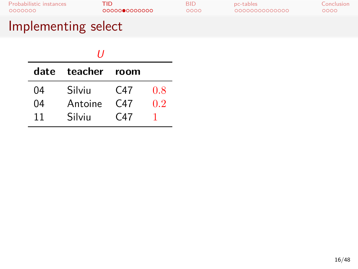## Implementing select

|      | 11      |                 |              |
|------|---------|-----------------|--------------|
| date | teacher | room            |              |
| 04   | Silviu  | C47             | 0.8          |
| 04   | Antoine | C <sub>47</sub> | 0.2          |
| 11   | Silviu  | C47             | $\mathbf{1}$ |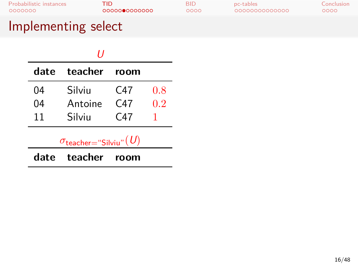## Implementing select

|      | 11                                               |      |     |
|------|--------------------------------------------------|------|-----|
| date | teacher                                          | room |     |
| 04   | Silviu                                           | C47  | 0.8 |
| 04   | Antoine                                          | C47  | 0.2 |
| 11   | Silviu                                           | C47  |     |
|      | $\sigma_{\mathsf{teacher}=\text{``Silviu''}}(U)$ |      |     |
| date | teacher                                          | room |     |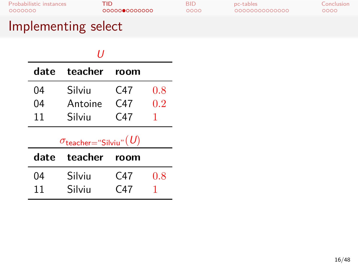## Implementing select

|      | 11                                               |                 |     |
|------|--------------------------------------------------|-----------------|-----|
| date | teacher                                          | room            |     |
| 04   | Silviu                                           | C <sub>47</sub> | 0.8 |
| 04   | Antoine                                          | C <sub>47</sub> | 0.2 |
| 11   | Silviu                                           | C <sub>47</sub> | 1   |
|      | $\sigma_{\mathsf{teacher}=\text{``Silviu''}}(U)$ |                 |     |
| date | teacher                                          | room            |     |
| 04   | Silviu                                           | C47             | 0.8 |
| 11   | Silviu                                           | C47             |     |
|      |                                                  |                 |     |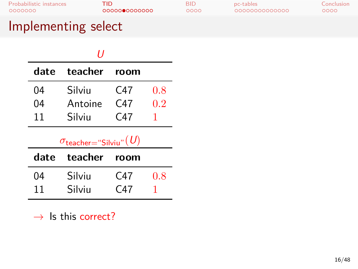### Implementing select

|      | 11                                               |                 |     |
|------|--------------------------------------------------|-----------------|-----|
| date | teacher                                          | room            |     |
| 04   | Silviu                                           | C47             | 0.8 |
| 04   | Antoine                                          | C47             | 0.2 |
| 11   | Silviu                                           | C47             |     |
|      |                                                  |                 | 1   |
|      | $\sigma_{\mathsf{teacher}=\text{``Silviu''}}(U)$ |                 |     |
| date | teacher                                          | room            |     |
| 04   | Silviu                                           | C <sub>47</sub> | 0.8 |
| 11   | Silviu                                           | C47             |     |

*→* Is this correct?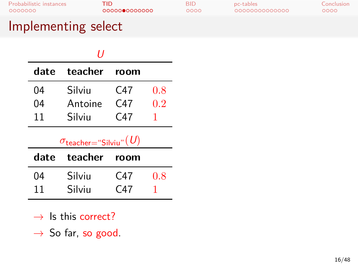### Implementing select

|      | 11                                               |                 |     |
|------|--------------------------------------------------|-----------------|-----|
| date | teacher                                          | room            |     |
| 04   | Silviu                                           | C47             | 0.8 |
| 04   | Antoine                                          | C <sub>47</sub> | 0.2 |
| 11   | Silviu                                           | C <sub>47</sub> |     |
|      |                                                  |                 |     |
|      | $\sigma_{\mathsf{teacher}=\text{``Silviu''}}(U)$ |                 |     |
| date | teacher                                          | room            |     |
| 04   | Silviu                                           | C47             | 0.8 |
| 11   | Silviu                                           | C47             |     |

*→* Is this correct?

*→* So far, so good.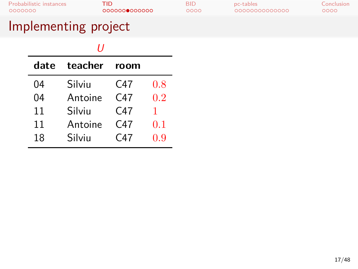| date | teacher | room            |     |
|------|---------|-----------------|-----|
| 04   | Silviu  | C <sub>47</sub> | 0.8 |
| 04   | Antoine | C <sub>47</sub> | 0.2 |
| 11   | Silviu  | C <sub>47</sub> | 1   |
| 11   | Antoine | C <sub>47</sub> | 0.1 |
| 18   | Silviu  | C <sub>47</sub> | 0.9 |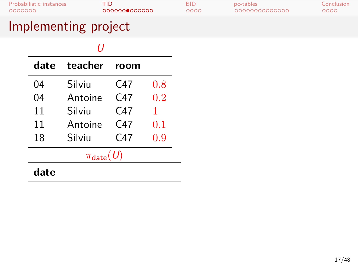|                        | H       |                 |     |  |
|------------------------|---------|-----------------|-----|--|
| date                   | teacher | room            |     |  |
| 04                     | Silviu  | C47             | 0.8 |  |
| 04                     | Antoine | C <sub>47</sub> | 0.2 |  |
| 11                     | Silviu  | C47             | 1   |  |
| 11                     | Antoine | C <sub>47</sub> | 0.1 |  |
| 18                     | Silviu  | C47             | 0.9 |  |
| $\pi_{\text{date}}(U)$ |         |                 |     |  |
| date                   |         |                 |     |  |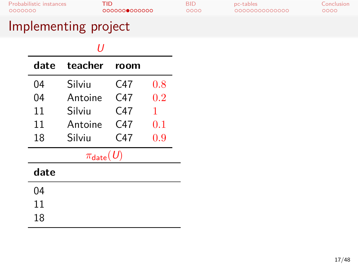| 11   |                        |      |     |  |
|------|------------------------|------|-----|--|
| date | teacher                | room |     |  |
| 04   | Silviu                 | C47  | 0.8 |  |
| 04   | Antoine                | C47  | 0.2 |  |
| 11   | Silviu                 | C47  | 1   |  |
| 11   | Antoine                | C47  | 0.1 |  |
| 18   | Silviu                 | C47  | 0.9 |  |
|      | $\pi_{\text{date}}(U)$ |      |     |  |
| date |                        |      |     |  |
| 04   |                        |      |     |  |
| 11   |                        |      |     |  |
| 18   |                        |      |     |  |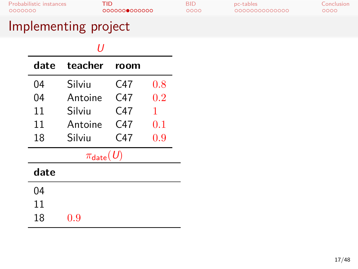| date | teacher                  | room |     |
|------|--------------------------|------|-----|
| 04   | Silviu                   | C47  | 0.8 |
| 04   | Antoine                  | C47  | 0.2 |
| 11   | Silviu                   | C47  | 1   |
| 11   | Antoine                  | C47  | 0.1 |
| 18   | Silviu                   | C47  | 0.9 |
|      | $\pi_{\textsf{date}}(U)$ |      |     |
| date |                          |      |     |
| 04   |                          |      |     |
| 11   |                          |      |     |
| 18   | $_{\rm 0.9}$             |      |     |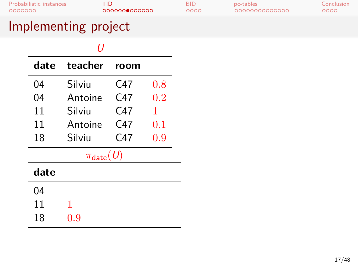| date | teacher                  | room            |     |  |  |
|------|--------------------------|-----------------|-----|--|--|
| 04   | Silviu                   | C47             | 0.8 |  |  |
| 04   | Antoine                  | C <sub>47</sub> | 0.2 |  |  |
| 11   | Silviu                   | C47             | 1   |  |  |
| 11   | Antoine                  | C47             | 0.1 |  |  |
| 18   | Silviu                   | C47             | 0.9 |  |  |
|      | $\pi_{\textsf{date}}(U)$ |                 |     |  |  |
| date |                          |                 |     |  |  |
| 04   |                          |                 |     |  |  |
| 11   | 1                        |                 |     |  |  |
| 18   | 0.9                      |                 |     |  |  |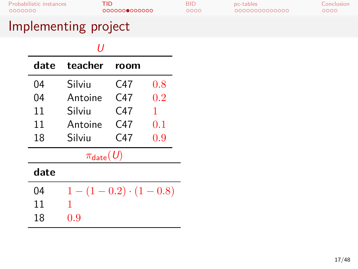| date | teacher                           | room |     |  |  |
|------|-----------------------------------|------|-----|--|--|
| 04   | Silviu                            | C47  | 0.8 |  |  |
| 04   | Antoine                           | C47  | 0.2 |  |  |
| 11   | Silviu                            | C47  | 1   |  |  |
| 11   | Antoine                           | C47  | 0.1 |  |  |
| 18   | Silviu                            | C47  | 0.9 |  |  |
|      | $\pi_{\textsf{date}}(\textit{U})$ |      |     |  |  |
| date |                                   |      |     |  |  |
| 04   | $1-(1-0.2)\cdot(1-0.8)$           |      |     |  |  |
| 11   | 1                                 |      |     |  |  |
| 18   | 0.9                               |      |     |  |  |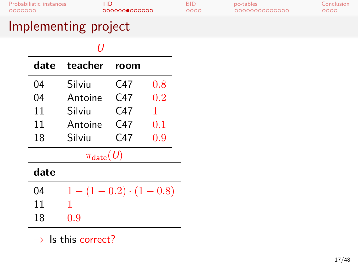### Implementing project

| וו   |                          |      |     |  |  |
|------|--------------------------|------|-----|--|--|
| date | teacher                  | room |     |  |  |
| 04   | Silviu                   | C47  | 0.8 |  |  |
| 04   | Antoine                  | C47  | 0.2 |  |  |
| 11   | Silviu                   | C47  | 1   |  |  |
| 11   | Antoine                  | C47  | 0.1 |  |  |
| 18   | Silviu                   | C47  | 0.9 |  |  |
|      | $\pi_{\textsf{date}}(U)$ |      |     |  |  |
| date |                          |      |     |  |  |
| 04   | $1-(1-0.2)\cdot(1-0.8)$  |      |     |  |  |
| 11   | 1                        |      |     |  |  |
| 18   | 0.9                      |      |     |  |  |

*→* Is this correct?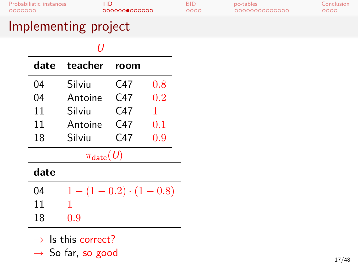### Implementing project

| 11   |                         |      |     |  |  |
|------|-------------------------|------|-----|--|--|
| date | teacher                 | room |     |  |  |
| 04   | Silviu                  | C47  | 0.8 |  |  |
| 04   | Antoine                 | C47  | 0.2 |  |  |
| 11   | Silviu                  | C47  | 1   |  |  |
| 11   | Antoine                 | C47  | 0.1 |  |  |
| 18   | Silviu                  | C47  | 0.9 |  |  |
|      | $\pi_{\text{date}}(U)$  |      |     |  |  |
| date |                         |      |     |  |  |
| 04   | $1-(1-0.2)\cdot(1-0.8)$ |      |     |  |  |
| 11   | 1                       |      |     |  |  |
| 18   | 0.9                     |      |     |  |  |
|      |                         |      |     |  |  |

*→* Is this correct?

*→* So far, so good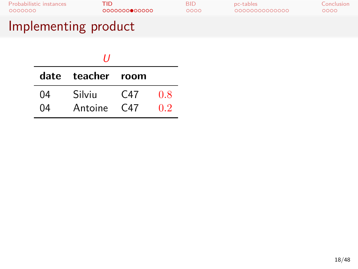| <b>Probabilistic instances</b> | TID           | <b>BID</b> | pc-tables     | Conclusion |
|--------------------------------|---------------|------------|---------------|------------|
| 0000000                        | 0000000000000 | 0000       | 0000000000000 | 0000       |
| Implementing product           |               |            |               |            |

|    | ,,                |                 |     |
|----|-------------------|-----------------|-----|
|    | date teacher room |                 |     |
| 04 | Silviu            | C <sub>47</sub> | 0.8 |
| 04 | Antoine           | C <sub>47</sub> | 02  |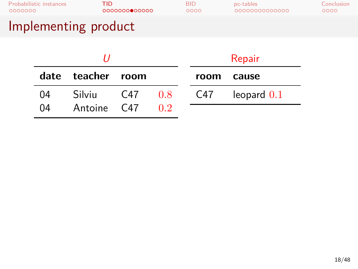| Implementing product    |               |            |               |            |
|-------------------------|---------------|------------|---------------|------------|
| Probabilistic instances | TID.          | <b>BID</b> | pc-tables     | Conclusion |
| 0000000                 | 0000000000000 | ററററ       | 0000000000000 | 0000       |

|    |                   |     |       | Repair |               |  |
|----|-------------------|-----|-------|--------|---------------|--|
|    | date teacher room |     |       |        | room cause    |  |
| 04 | <b>Silviu</b>     | C47 | - 0.8 | C47    | leopard $0.1$ |  |
| 04 | Antoine C47       |     | 0.2   |        |               |  |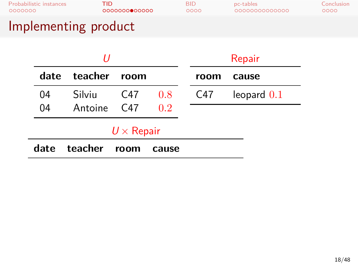| Implementing product    |               |            |               |            |
|-------------------------|---------------|------------|---------------|------------|
| Probabilistic instances | TID.          | <b>BID</b> | pc-tables     | Conclusion |
| 0000000                 | 0000000000000 | 0000       | 0000000000000 | 0000       |

|        |     |                                                       |                   | Repair        |
|--------|-----|-------------------------------------------------------|-------------------|---------------|
|        |     |                                                       | room              | cause         |
| Silviu | C47 | 0.8                                                   | C47               | leopard $0.1$ |
|        |     | 0.2                                                   |                   |               |
|        |     |                                                       |                   |               |
|        |     | cause                                                 |                   |               |
|        |     | date teacher room<br>Antoine C47<br>date teacher room | $U \times$ Repair |               |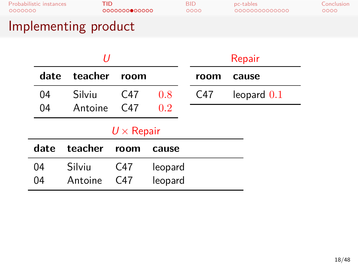# Probabilistic instances TID BID pc-tables Conclusion Implementing product

### *U* **date teacher room** 04 Silviu C47 0*.*8 04 Antoine C47 0*.*2 Repair **room cause** C47 leopard 0*.*1 *U ×* Repair **date teacher room cause** 04 Silviu C47 leopard<br>04 Antoine C47 leopard Antoine C47 leopard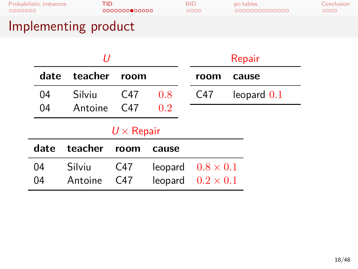# Probabilistic instances TID BID pc-tables Conclusion Implementing product

### *U* **date teacher room** 04 Silviu C47 0*.*8 04 Antoine C47 0*.*2 Repair **room cause** C47 leopard 0*.*1 *U ×* Repair **date teacher room cause** 04 Silviu C47 leopard 0*.*8 *×* 0*.*1  $0.2 \times 0.1$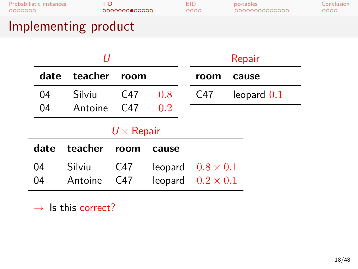# Probabilistic instances TID BID pc-tables Conclusion Implementing product

### *U* **date teacher room** 04 Silviu C47 0*.*8 04 Antoine C47 0*.*2 Repair **room cause** C47 leopard 0*.*1 *U ×* Repair **date teacher room cause** 04 Silviu C47 leopard 0*.*8 *×* 0*.*1  $0.2 \times 0.1$

*→* Is this correct?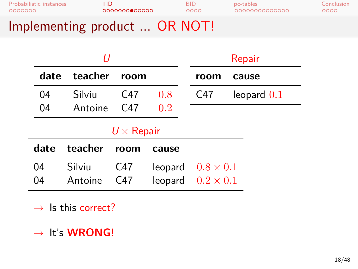|                         |               | $\bigcap$ $\bigcap$ |                |            |
|-------------------------|---------------|---------------------|----------------|------------|
| Probabilistic instances | TID.          | RID                 | pc-tables      | Conclusion |
| 0000000                 | 0000000000000 | ററററ                | 00000000000000 | ೦೦೦೦       |

## Implementing product ... OR NOT!

|      |         |                   |                          |      | Repair        |
|------|---------|-------------------|--------------------------|------|---------------|
| date | teacher | room              |                          | room | cause         |
| 04   | Silviu  | C47               | 0.8                      | C47  | leopard $0.1$ |
| 04   | Antoine | C47               | 0.2                      |      |               |
|      |         | $U \times$ Repair |                          |      |               |
| date | teacher | room              | cause                    |      |               |
| 04   | Silviu  | C47               | leopard $0.8 \times 0.1$ |      |               |
| 04   | Antoine | C47               | leopard $0.2 \times 0.1$ |      |               |
|      |         |                   |                          |      |               |

- *→* Is this correct?
- *→* It's **WRONG**!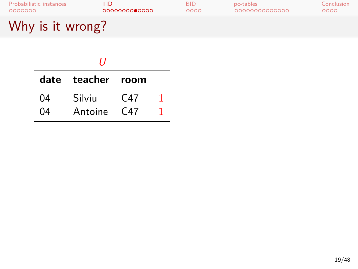| Probabilistic instances | TID.          | BID  | pc-tables     | Conclusion |
|-------------------------|---------------|------|---------------|------------|
| 0000000                 | 0000000000000 | 0000 | 0000000000000 | 0000       |
| Why is it wrong?        |               |      |               |            |

|    | 11                |                 |  |
|----|-------------------|-----------------|--|
|    | date teacher room |                 |  |
| 04 | Silviu            | C47             |  |
| NΔ | Antoine           | C <sub>47</sub> |  |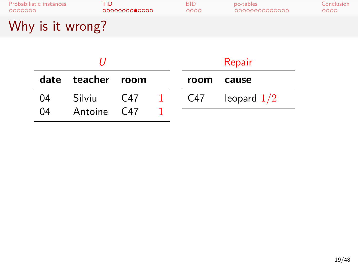| Probabilistic instances | TID           | <b>BID</b> | pc-tables     | Conclusion |
|-------------------------|---------------|------------|---------------|------------|
| 0000000                 | 0000000000000 | 0000       | 0000000000000 | ೦೦೦೦       |
| Why is it wrong?        |               |            |               |            |

|    |                   |     |               |     | Repair        |
|----|-------------------|-----|---------------|-----|---------------|
|    | date teacher room |     |               |     | room cause    |
| 04 | Silviu            | C47 | and the state | C47 | leopard $1/2$ |
| 04 | Antoine C47       |     |               |     |               |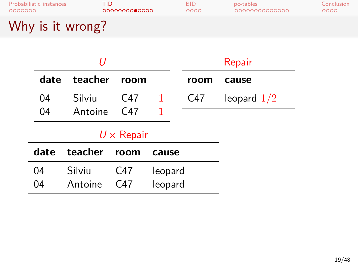Why is it wrong?

|      | 11      |                  |         |      | Repair        |
|------|---------|------------------|---------|------|---------------|
| date | teacher | room             |         | room | cause         |
| 04   | Silviu  | C47              | 1       | C47  | leopard $1/2$ |
| 04   | Antoine | C47              | 1       |      |               |
|      |         | $U\times$ Repair |         |      |               |
| date | teacher | room             | cause   |      |               |
| 04   | Silviu  | C47              | leopard |      |               |
| 04   | Antoine | C47              | leopard |      |               |
|      |         |                  |         |      |               |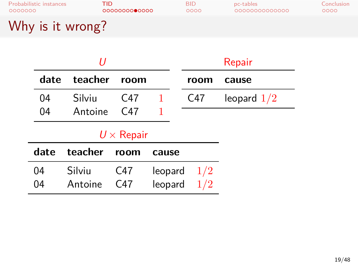### Why is it wrong?

|      | U       |                   |         |      | Repair        |
|------|---------|-------------------|---------|------|---------------|
| date | teacher | room              |         | room | cause         |
| 04   | Silviu  | C <sub>47</sub>   | 1       | C47  | leopard $1/2$ |
| 04   | Antoine | C47               |         |      |               |
|      |         | $U \times$ Repair |         |      |               |
| date | teacher | room              | cause   |      |               |
| 04   | Silviu  | C47               | leopard | 1/2  |               |
| 04   | Antoine | C <sub>47</sub>   | leopard | 1/2  |               |
|      |         |                   |         |      |               |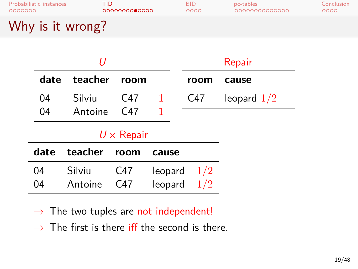Why is it wrong?

|      | IJ      |                   |         |      | Repair        |
|------|---------|-------------------|---------|------|---------------|
| date | teacher | room              |         | room | cause         |
| 04   | Silviu  | C47               | 1       | C47  | leopard $1/2$ |
| 04   | Antoine | C <sub>47</sub>   | 1       |      |               |
|      |         | $U \times$ Repair |         |      |               |
| date | teacher | room              | cause   |      |               |
| 04   | Silviu  | C47               | leopard | 1/2  |               |
| 04   | Antoine | C <sub>47</sub>   | leopard | 1/2  |               |
|      |         |                   |         |      |               |

*→* The two tuples are not independent!

*→* The first is there iff the second is there.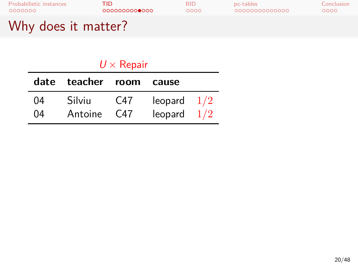| Probabilistic instances | TID.          | BID  | pc-tables     | Conclusion |
|-------------------------|---------------|------|---------------|------------|
| 0000000                 | 0000000000000 | 0000 | 0000000000000 | 0000       |
| Why does it matter?     |               |      |               |            |

*U ×* Repair **date teacher room cause** 04 Silviu C47 leopard  $1/2$ 04 Antoine C47 leopard 1/2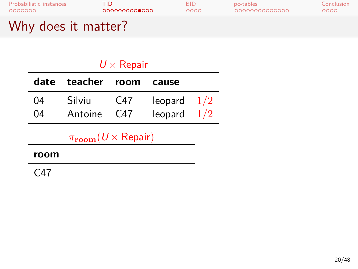| Probabilistic instances | TID.          | BID  | pc-tables     | Conclusion |
|-------------------------|---------------|------|---------------|------------|
| 0000000                 | 0000000000000 | 0000 | 0000000000000 | 0000       |
| Why does it matter?     |               |      |               |            |

|          |                                               | $U\times$ Repair |                                |  |
|----------|-----------------------------------------------|------------------|--------------------------------|--|
|          | date teacher                                  | room             | cause                          |  |
| 04<br>04 | Silviu<br>Antoine                             | C47<br>C47       | leopard $1/2$<br>leopard $1/2$ |  |
|          | $\pi_{\textbf{room}}(U \times \text{Repair})$ |                  |                                |  |
|          |                                               |                  |                                |  |

C47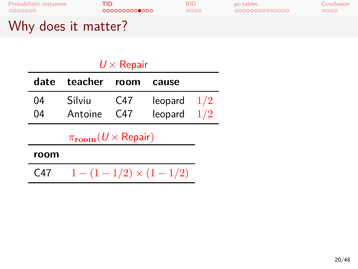| Probabilistic instances | TID.          | BID  | pc-tables     | Conclusion |
|-------------------------|---------------|------|---------------|------------|
| 0000000                 | 0000000000000 | 0000 | 0000000000000 | 0000       |
| Why does it matter?     |               |      |               |            |

| $U \times$ Repair                             |         |      |                          |     |  |
|-----------------------------------------------|---------|------|--------------------------|-----|--|
| date                                          | teacher | room | cause                    |     |  |
| 04                                            | Silviu  | C47  | leopard $1/2$            |     |  |
| 04                                            | Antoine | C47  | leopard                  | 1/2 |  |
| $\pi_{\textbf{room}}(U \times \text{Repair})$ |         |      |                          |     |  |
| room                                          |         |      |                          |     |  |
| C47                                           |         |      | $1-(1-1/2)\times(1-1/2)$ |     |  |
|                                               |         |      |                          |     |  |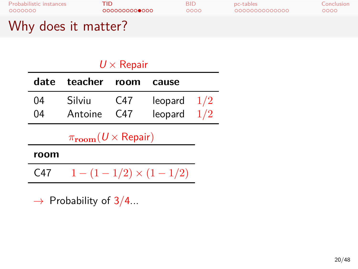| Probabilistic instances | TID           | BID  | pc-tables     | Conclusion |
|-------------------------|---------------|------|---------------|------------|
| 0000000                 | 0000000000000 | 0000 | 0000000000000 | 0000       |
| Why does it matter?     |               |      |               |            |

| $U\times$ Repair                              |                          |      |         |     |
|-----------------------------------------------|--------------------------|------|---------|-----|
| date                                          | teacher                  | room | cause   |     |
| 04                                            | Silviu                   | C47  | leopard | 1/2 |
| 04                                            | Antoine                  | C47  | leopard | 1/2 |
| $\pi_{\textbf{room}}(U \times \text{Repair})$ |                          |      |         |     |
| room                                          |                          |      |         |     |
| C47                                           | $1-(1-1/2)\times(1-1/2)$ |      |         |     |
|                                               |                          |      |         |     |

*→* Probability of 3/4...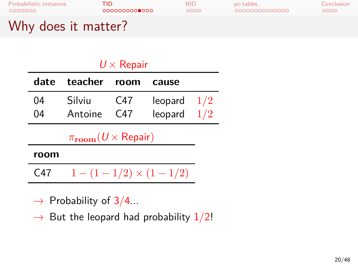| Probabilistic instances | TID           | BID  | pc-tables     | Conclusion |
|-------------------------|---------------|------|---------------|------------|
| 0000000                 | 0000000000000 | 0000 | 0000000000000 | 0000       |
| Why does it matter?     |               |      |               |            |

| $U\times$ Repair                              |         |                 |               |  |
|-----------------------------------------------|---------|-----------------|---------------|--|
| date                                          | teacher | room            | cause         |  |
| 04                                            | Silviu  | C47             | leopard $1/2$ |  |
| 04                                            | Antoine | C <sub>47</sub> | leopard $1/2$ |  |
| $\pi_{\textbf{room}}(U \times \text{Repair})$ |         |                 |               |  |
| room                                          |         |                 |               |  |

C47  $1 - (1 - 1/2) \times (1 - 1/2)$ 

- *→* Probability of 3/4...
- *→* But the leopard had probability 1/2!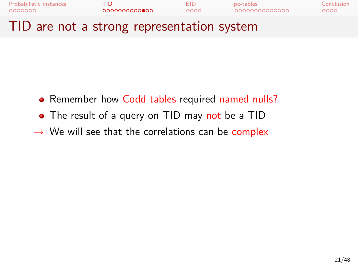

- Remember how Codd tables required named nulls?
- The result of a query on TID may not be a TID
- *→* We will see that the correlations can be complex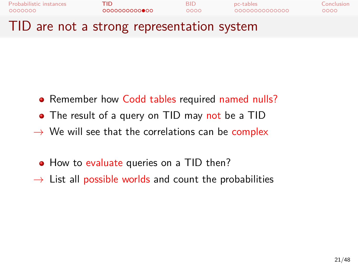

- Remember how Codd tables required named nulls?
- The result of a query on TID may not be a TID
- *→* We will see that the correlations can be complex
- How to evaluate queries on a TID then?
- *→* List all possible worlds and count the probabilities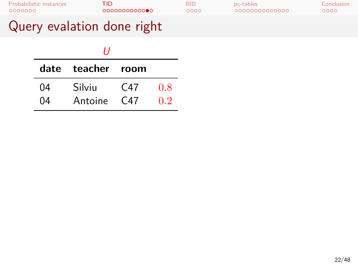# Query evalation done right

| ,, |                   |                 |     |  |
|----|-------------------|-----------------|-----|--|
|    | date teacher room |                 |     |  |
| 04 | Silviu            | C <sub>47</sub> | 0.8 |  |
| 04 | Antoine           | C47             | 02  |  |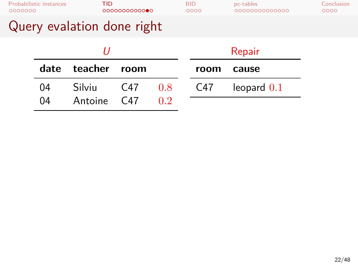| 0000000 | Probabilistic instances | TID                        | 0000000000000 |     | <b>BID</b><br>0000 | pc-tables<br>0000000000000 | Conclusion<br>0000 |
|---------|-------------------------|----------------------------|---------------|-----|--------------------|----------------------------|--------------------|
|         |                         | Query evalation done right |               |     |                    |                            |                    |
|         |                         | IJ                         |               |     |                    | Repair                     |                    |
|         | date                    | teacher                    | room          |     | room               | cause                      |                    |
|         | 04                      | Silviu                     | C47           | 0.8 | C47                | leopard $0.1$              |                    |
|         | 04                      | Antoine                    | C47           | 0.2 |                    |                            |                    |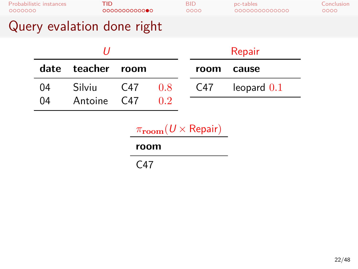| 0000000 | <b>Probabilistic instances</b> | <b>TID</b>                 | 000000000000    |     | <b>BID</b><br>0000                            | pc-tables<br>0000000000000 | Conclusion<br>0000 |
|---------|--------------------------------|----------------------------|-----------------|-----|-----------------------------------------------|----------------------------|--------------------|
|         |                                | Query evalation done right |                 |     |                                               |                            |                    |
|         |                                | U                          |                 |     |                                               | Repair                     |                    |
|         | date                           | teacher                    | room            |     | room                                          | cause                      |                    |
|         | 04                             | Silviu                     | C47             | 0.8 | C47                                           | leopard $0.1$              |                    |
|         | 04                             | Antoine                    | C <sub>47</sub> | 0.2 |                                               |                            |                    |
|         |                                |                            | room            |     | $\pi_{\textbf{room}}(U \times \text{Repair})$ |                            |                    |
|         | C47                            |                            |                 |     |                                               |                            |                    |
|         |                                |                            |                 |     |                                               |                            |                    |
|         |                                |                            |                 |     |                                               |                            |                    |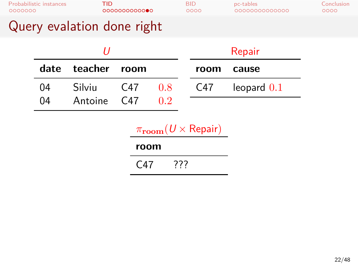| 0000000                    | Probabilistic instances |                   | TID<br>0000000000000 |                                               | <b>BID</b><br>0000 | pc-tables<br>0000000000000 | Conclusion<br>0000 |
|----------------------------|-------------------------|-------------------|----------------------|-----------------------------------------------|--------------------|----------------------------|--------------------|
| Query evalation done right |                         |                   |                      |                                               |                    |                            |                    |
|                            |                         |                   | IJ                   |                                               |                    | Repair                     |                    |
|                            | date                    | teacher           | room                 |                                               | room               | cause                      |                    |
|                            | 04<br>04                | Silviu<br>Antoine | C47<br>C47           | 0.8<br>0.2                                    | C47                | leopard $0.1$              |                    |
|                            |                         |                   |                      |                                               |                    |                            |                    |
|                            |                         |                   |                      | $\pi_{\textbf{room}}(U \times \text{Repair})$ |                    |                            |                    |

| room |  |
|------|--|
|      |  |

C47 ???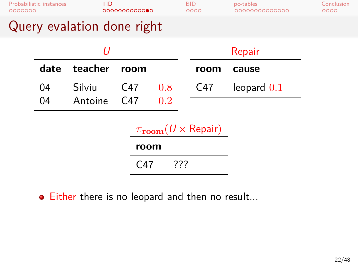| 0000000 | <b>Probabilistic instances</b> | <b>TID</b>                                      | 0000000000000 |     |     | <b>BID</b><br>0000                              | pc-tables<br>0000000000000 | Conclusion<br>0000 |
|---------|--------------------------------|-------------------------------------------------|---------------|-----|-----|-------------------------------------------------|----------------------------|--------------------|
|         |                                | Query evalation done right                      |               |     |     |                                                 |                            |                    |
|         |                                | U                                               |               |     |     |                                                 | Repair                     |                    |
|         | date                           | teacher                                         | room          |     |     | room                                            | cause                      |                    |
|         | 04                             | Silviu                                          | C47           | 0.8 |     | C47                                             | leopard $0.1$              |                    |
|         | 04                             | Antoine                                         | C47           | 0.2 |     |                                                 |                            |                    |
|         |                                |                                                 |               |     |     | $\pi_{\mathrm{room}}(U \times \mathrm{Repair})$ |                            |                    |
|         |                                |                                                 | room          |     |     |                                                 |                            |                    |
|         |                                |                                                 | C47           |     | ??? |                                                 |                            |                    |
|         |                                | • Either there is no leopard and then no result |               |     |     |                                                 |                            |                    |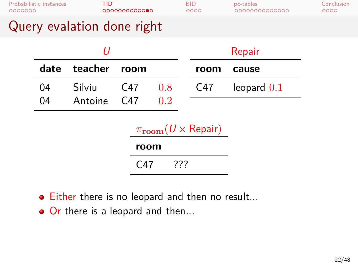| Probabilistic instances<br>0000000 |      | <b>TID</b>                 | 0000000000000 |     |     | <b>BID</b><br>0000                            | pc-tables<br>0000000000000 | Conclusion<br>0000 |
|------------------------------------|------|----------------------------|---------------|-----|-----|-----------------------------------------------|----------------------------|--------------------|
|                                    |      | Query evalation done right |               |     |     |                                               |                            |                    |
|                                    |      | U                          |               |     |     |                                               | Repair                     |                    |
|                                    | date | teacher                    | room          |     |     | room                                          | cause                      |                    |
|                                    | 04   | Silviu                     | C47           | 0.8 |     | C47                                           | leopard $0.1$              |                    |
|                                    | 04   | Antoine                    | C47           | 0.2 |     |                                               |                            |                    |
|                                    |      |                            |               |     |     | $\pi_{\textbf{room}}(U \times \text{Repair})$ |                            |                    |
|                                    |      |                            | room          |     |     |                                               |                            |                    |
|                                    |      |                            | C47           |     | ??? |                                               |                            |                    |
|                                    |      |                            |               |     |     |                                               |                            |                    |

- Either there is no leopard and then no result...
- Or there is a leopard and then...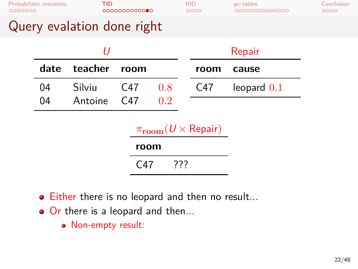| Probabilistic instances<br>0000000 |          |                   | TID<br>0000000000000   |                                             | <b>BID</b><br>0000 |      | pc-tables<br>0000000000000 | Conclusion<br>0000 |
|------------------------------------|----------|-------------------|------------------------|---------------------------------------------|--------------------|------|----------------------------|--------------------|
| Query evalation done right         |          |                   |                        |                                             |                    |      |                            |                    |
|                                    |          | IJ                |                        |                                             |                    |      | Repair                     |                    |
|                                    | date     | teacher           | room                   |                                             |                    | room | cause                      |                    |
|                                    | 04<br>04 | Silviu<br>Antoine | C <sub>47</sub><br>C47 | 0.8<br>0.2                                  |                    | C47  | leopard $0.1$              |                    |
|                                    |          |                   |                        | $\pi_{\text{room}}(U \times \text{Repair})$ |                    |      |                            |                    |

| room |     |  |
|------|-----|--|
| C47  | 777 |  |

- Either there is no leopard and then no result...
- Or there is a leopard and then...
	- Non-empty result: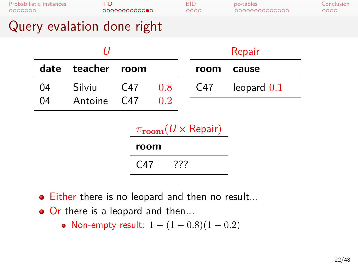| Probabilistic instances<br>0000000 |      | TID     | 0000000000000 |     | <b>BID</b> | 0000 | pc-tables<br>0000000000000 | Conclusion<br>0000 |
|------------------------------------|------|---------|---------------|-----|------------|------|----------------------------|--------------------|
| Query evalation done right         |      |         |               |     |            |      |                            |                    |
|                                    |      | IJ      |               |     |            |      | Repair                     |                    |
|                                    | date | teacher | room          |     |            | room | cause                      |                    |
|                                    | 04   | Silviu  | C47           | 0.8 |            | C47  | leopard $0.1$              |                    |
|                                    | 04   | Antoine | C47           | 0.2 |            |      |                            |                    |

## *π***room**(*U ×* Repair)

| room |     |
|------|-----|
| C47  | 777 |
|      |     |

- Either there is no leopard and then no result...
- Or there is a leopard and then...
	- Non-empty result: 1 *−* (1 *−* 0*.*8)(1 *−* 0*.*2)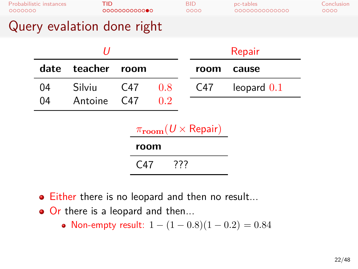| Probabilistic instances<br>0000000 |          |                   | TID<br>0000000000000 |            | <b>BID</b><br>0000 | pc-tables<br>0000000000000 | Conclusion<br>0000 |
|------------------------------------|----------|-------------------|----------------------|------------|--------------------|----------------------------|--------------------|
| Query evalation done right         |          |                   |                      |            |                    |                            |                    |
|                                    |          | IJ                |                      |            |                    | Repair                     |                    |
|                                    | date     | teacher           | room                 |            | room               | cause                      |                    |
|                                    | 04<br>04 | Silviu<br>Antoine | C47<br>C47           | 0.8<br>0.2 | C47                | leopard $0.1$              |                    |

## *π***room**(*U ×* Repair)

| room |     |
|------|-----|
| C47  | 777 |
|      |     |

- Either there is no leopard and then no result...
- Or there is a leopard and then...
	- Non-empty result: 1 *−* (1 *−* 0*.*8)(1 *−* 0*.*2) = 0*.*84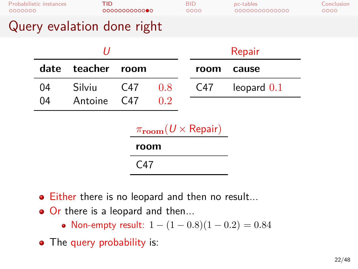| 0000000                    | Probabilistic instances | TID     | 0000000000000 |     | <b>BID</b><br>0000 | pc-tables<br>0000000000000 | Conclusion<br>0000 |
|----------------------------|-------------------------|---------|---------------|-----|--------------------|----------------------------|--------------------|
| Query evalation done right |                         |         |               |     |                    |                            |                    |
|                            |                         | IJ      |               |     |                    | Repair                     |                    |
|                            | date                    | teacher | room          |     | room               | cause                      |                    |
|                            | 04                      | Silviu  | C47           | 0.8 | C47                | leopard $0.1$              |                    |
|                            | 04                      | Antoine | C47           | 0.2 |                    |                            |                    |

## *π***room**(*U ×* Repair)

| room |  |
|------|--|
| C47  |  |
|      |  |

- Either there is no leopard and then no result...
- Or there is a leopard and then...

 $\overline{\phantom{a}}$ 

- Non-empty result: 1 *−* (1 *−* 0*.*8)(1 *−* 0*.*2) = 0*.*84
- The query probability is: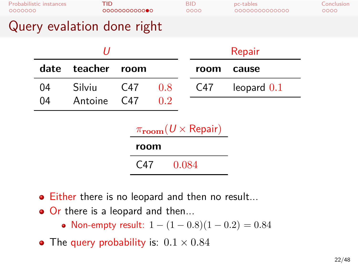| 0000000                    | Probabilistic instances | TID     | 0000000000000 |     | <b>BID</b><br>0000 |      | pc-tables<br>0000000000000 | Conclusion<br>0000 |
|----------------------------|-------------------------|---------|---------------|-----|--------------------|------|----------------------------|--------------------|
| Query evalation done right |                         |         |               |     |                    |      |                            |                    |
|                            |                         | IJ      |               |     |                    |      | Repair                     |                    |
|                            | date                    | teacher | room          |     |                    | room | cause                      |                    |
|                            | 04                      | Silviu  | C47           | 0.8 |                    | C47  | leopard $0.1$              |                    |
|                            | 04                      | Antoine | C47           | 0.2 |                    |      |                            |                    |

### *π***room**(*U ×* Repair) **room**

- Either there is no leopard and then no result...
- Or there is a leopard and then...
	- Non-empty result: 1 *−* (1 *−* 0*.*8)(1 *−* 0*.*2) = 0*.*84
- The query probability is: 0*.*1 *×* 0*.*84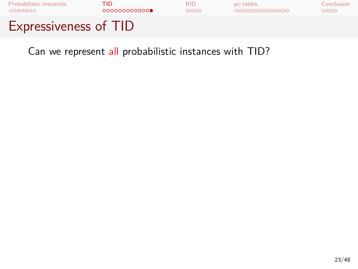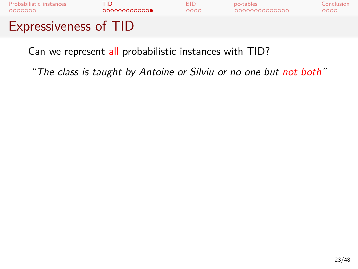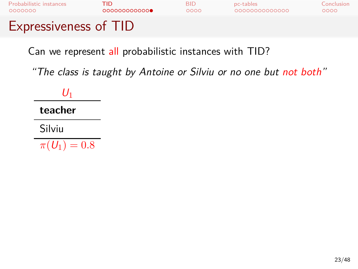

*"The class is taught by Antoine or Silviu or no one but not both"*

*U*1 **teacher** Silviu  $\pi(U_1) = 0.8$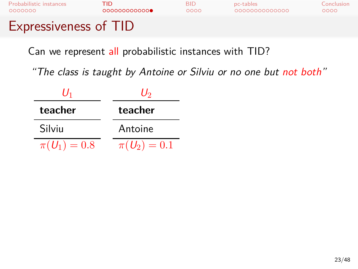| <b>Expressiveness of TID</b> |              |      |                |            |
|------------------------------|--------------|------|----------------|------------|
| Probabilistic instances      | TID.         | RID  | pc-tables      | Conclusion |
| 0000000                      | 000000000000 | റററെ | 00000000000000 | 0000       |

| Uı               | Uэ             |  |
|------------------|----------------|--|
| teacher          | teacher        |  |
| Silviu           | Antoine        |  |
| $\pi(U_1) = 0.8$ | $\pi(U_2)=0.1$ |  |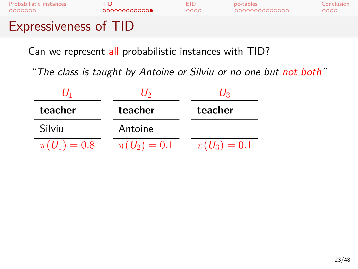| 0000000<br><b>Expressiveness of TID</b> | 000000000000 | റററെ | 0000000000000 | 0000       |
|-----------------------------------------|--------------|------|---------------|------------|
| Probabilistic instances                 | TID.         | BID  | pc-tables     | Conclusion |

| l J1             | Uэ               | Uз               |  |
|------------------|------------------|------------------|--|
| teacher          | teacher          | teacher          |  |
| Silviu           | Antoine          |                  |  |
| $\pi(U_1) = 0.8$ | $\pi(U_2) = 0.1$ | $\pi(U_3) = 0.1$ |  |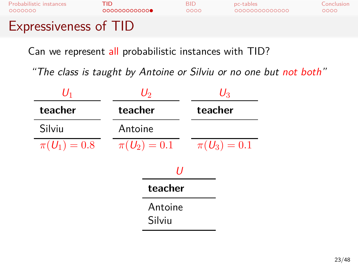| Probabilistic instances      | TID.         | RID  | pc-tables      | Conclusion |
|------------------------------|--------------|------|----------------|------------|
| 0000000                      | 000000000000 | 0000 | 00000000000000 | 0000       |
| <b>Expressiveness of TID</b> |              |      |                |            |

| $U_1$          | $\mathcal{U}_2$   | $\mathit{U}_{3}$ |
|----------------|-------------------|------------------|
| teacher        | teacher           | teacher          |
| Silviu         | Antoine           |                  |
| $\pi(U_1)=0.8$ | $\pi(U_2)=0.1$    | $\pi(U_3)=0.1$   |
|                | U                 |                  |
|                | teacher           |                  |
|                | Antoine<br>Silviu |                  |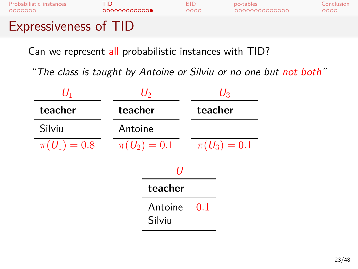| Probabilistic instances      | TID.         | RID  | pc-tables      | Conclusion |
|------------------------------|--------------|------|----------------|------------|
| 0000000                      | 000000000000 | 0000 | 00000000000000 | 0000       |
| <b>Expressiveness of TID</b> |              |      |                |            |

| $\mathit{U}_1$ | $U_2$             | $U_{3}$          |  |
|----------------|-------------------|------------------|--|
| teacher        | teacher           | teacher          |  |
| Silviu         | Antoine           |                  |  |
| $\pi(U_1)=0.8$ | $\pi(U_2)=0.1$    | $\pi(U_3) = 0.1$ |  |
|                | U                 |                  |  |
|                | teacher           |                  |  |
|                | Antoine<br>Silviu | 0.1              |  |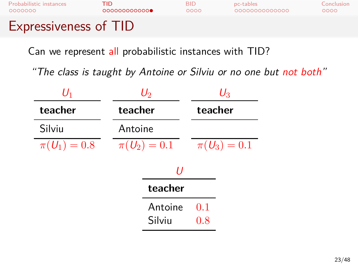| 0000000<br><b>Expressiveness of TID</b> | 000000000000 | റററെ | 0000000000000 | 0000       |
|-----------------------------------------|--------------|------|---------------|------------|
| Probabilistic instances                 | TID.         | BID  | pc-tables     | Conclusion |

| $\mathit{U}_1$ | $U_2$          | $U_{3}$        |
|----------------|----------------|----------------|
| teacher        | teacher        | teacher        |
| Silviu         | Antoine        |                |
| $\pi(U_1)=0.8$ | $\pi(U_2)=0.1$ | $\pi(U_3)=0.1$ |
|                | U              |                |
|                | teacher        |                |
|                | Antoine        | 0.1            |
|                | Silviu         | 0.8            |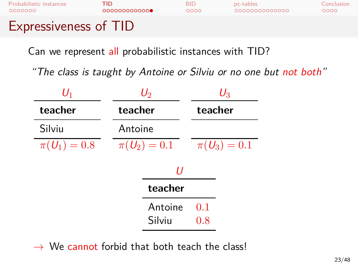| Probabilistic instances      | TID.         | RID  | pc-tables      | Conclusion |
|------------------------------|--------------|------|----------------|------------|
| 0000000                      | 000000000000 | 0000 | 00000000000000 | 0000       |
| <b>Expressiveness of TID</b> |              |      |                |            |



*→* We cannot forbid that both teach the class!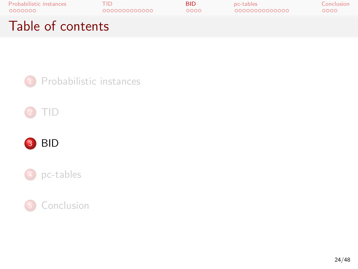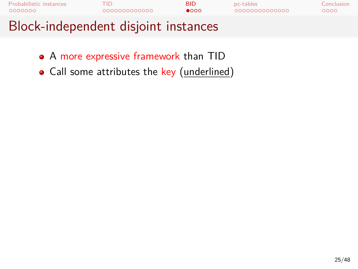

- A more expressive framework than TID
- Call some attributes the key (underlined)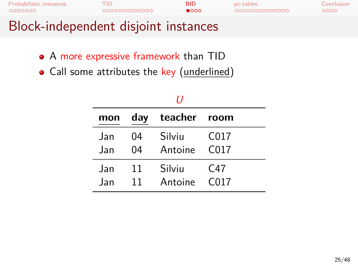| Block-independent disjoint instances |              |               |               |            |
|--------------------------------------|--------------|---------------|---------------|------------|
| <b>Probabilistic instances</b>       | TID          | <b>BID</b>    | pc-tables     | Conclusion |
| 0000000                              | 000000000000 | $\bullet$ 000 | 0000000000000 | 0000       |

- A more expressive framework than TID
- Call some attributes the key (underlined)

| H    |     |              |                  |  |
|------|-----|--------------|------------------|--|
| mon  | day | teacher room |                  |  |
| .Jan | 04  | Silviu       | C017             |  |
| .Jan | 04  | Antoine      | C <sub>017</sub> |  |
| .Jan | 11  | Silviu       | C47              |  |
| Jan  | 11  | Antoine      | C <sub>017</sub> |  |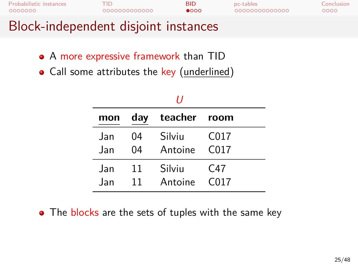| Block-independent disjoint instances |              |               |               |            |
|--------------------------------------|--------------|---------------|---------------|------------|
| <b>Probabilistic instances</b>       | 000000000000 | <b>BID</b>    | pc-tables     | Conclusion |
| 0000000                              |              | $\bullet$ 000 | 0000000000000 | 0000       |

- A more expressive framework than TID
- Call some attributes the key (underlined)

| IJ    |     |              |                  |  |
|-------|-----|--------------|------------------|--|
| mon   | day | teacher room |                  |  |
| .Jan  | 04  | Silviu       | C <sub>017</sub> |  |
| . Jan | 04  | Antoine      | C017             |  |
| .Jan  | 11  | Silviu       | C <sub>47</sub>  |  |
| .Jan  | 11  | Antoine      | C <sub>017</sub> |  |

• The blocks are the sets of tuples with the same key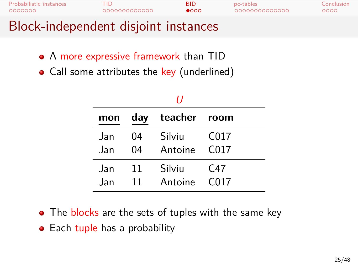| <b>Probabilistic instances</b>       | TID.         | <b>BID</b>    | pc-tables     | Conclusion |
|--------------------------------------|--------------|---------------|---------------|------------|
| 0000000                              | 000000000000 | $\bullet$ 000 | 0000000000000 | 0000       |
| Block-independent disjoint instances |              |               |               |            |

- A more expressive framework than TID
- Call some attributes the key (underlined)

| 11   |     |              |                  |  |
|------|-----|--------------|------------------|--|
| mon  | day | teacher room |                  |  |
| .Jan | 04  | Silviu       | C <sub>017</sub> |  |
| .Jan | 04  | Antoine      | C017             |  |
| .Jan | 11  | Silviu       | C47              |  |
| .Jan | 11  | Antoine      | C <sub>017</sub> |  |

- The blocks are the sets of tuples with the same key
- Each tuple has a probability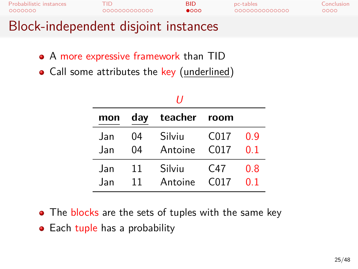| <b>Probabilistic instances</b>       | TID          | BID.          | pc-tables     | Conclusion |
|--------------------------------------|--------------|---------------|---------------|------------|
| 0000000                              | 000000000000 | $\bullet$ 000 | 0000000000000 | 0000       |
| Block-independent disjoint instances |              |               |               |            |

- A more expressive framework than TID
- Call some attributes the key (underlined)

| IJ   |     |              |                  |     |
|------|-----|--------------|------------------|-----|
| mon  | day | teacher room |                  |     |
| .Jan | 04  | Silviu       | C <sub>017</sub> | n q |
| .Jan | 04  | Antoine      | C017             | በ 1 |
| .Jan | 11  | Silviu       | C47              | 0.8 |
| .Jan | 11  | Antoine      | C <sub>017</sub> | O 1 |

- The blocks are the sets of tuples with the same key
- Each tuple has a probability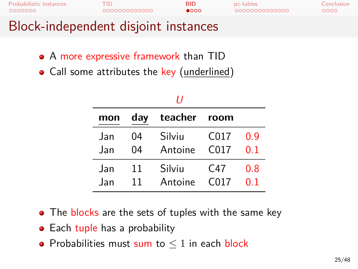| <b>Probabilistic instances</b>       | TID          | BID.          | pc-tables     | Conclusion |
|--------------------------------------|--------------|---------------|---------------|------------|
| 0000000                              | 000000000000 | $\bullet$ 000 | 0000000000000 | 0000       |
| Block-independent disjoint instances |              |               |               |            |

- A more expressive framework than TID
- Call some attributes the key (underlined)

| H    |     |              |                  |                |  |  |  |  |
|------|-----|--------------|------------------|----------------|--|--|--|--|
| mon  | day | teacher room |                  |                |  |  |  |  |
| .Jan | 04  | Silviu       | C <sub>017</sub> | n q            |  |  |  |  |
| .Jan | 04  | Antoine      | C017             | 0.1            |  |  |  |  |
| .Jan | 11  | Silviu       | C47              | 0.8            |  |  |  |  |
| .Jan | 11  | Antoine      | C <sub>017</sub> | 0 <sup>1</sup> |  |  |  |  |

- The blocks are the sets of tuples with the same key
- Each tuple has a probability
- Probabilities must sum to *≤* 1 in each block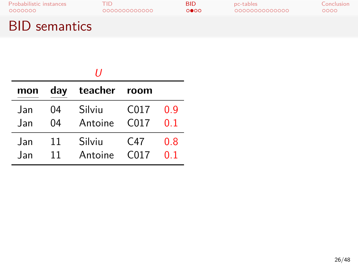## BID semantics

| mon  | day | teacher room |                  |     |  |  |  |
|------|-----|--------------|------------------|-----|--|--|--|
| Jan  | 04  | Silviu       | C <sub>017</sub> | n q |  |  |  |
| Jan  | 04  | Antoine      | C <sub>017</sub> | 0 1 |  |  |  |
| Jan  | 11  | Silviu       | C47              | 0.8 |  |  |  |
| .lan | 11  | Antoine      | C <sub>017</sub> | 0 1 |  |  |  |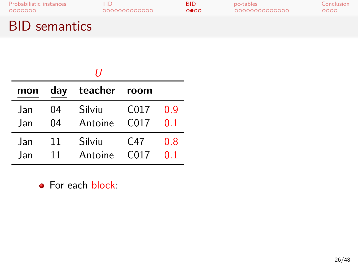## BID semantics

| mon | day | teacher room |                   |     |  |  |  |  |
|-----|-----|--------------|-------------------|-----|--|--|--|--|
| Jan | 04  | Silviu       | C <sub>017</sub>  | 0.9 |  |  |  |  |
| Jan | 04  | Antoine      | C <sub>0</sub> 17 | 0.1 |  |  |  |  |
| Jan | 11  | Silviu       | C <sub>47</sub>   | 0.8 |  |  |  |  |
| Jan | 11  | Antoine      | C <sub>017</sub>  | በ 1 |  |  |  |  |

**•** For each block: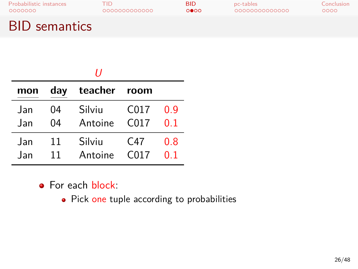## BID semantics

| mon  | day | teacher room |                  |     |  |  |  |
|------|-----|--------------|------------------|-----|--|--|--|
| .Jan | 04  | Silviu       | C <sub>017</sub> | 0.9 |  |  |  |
| Jan  | 04  | Antoine      | C <sub>017</sub> | 0 1 |  |  |  |
| Jan  | 11  | Silviu       | C47              | 0 ጸ |  |  |  |
| .Jan | 11  | Antoine      | C <sub>017</sub> | O 1 |  |  |  |

### **•** For each block:

• Pick one tuple according to probabilities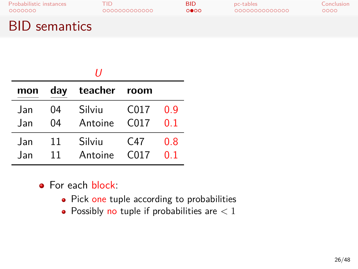## BID semantics

| mon  | day | teacher room |                  |     |  |  |  |
|------|-----|--------------|------------------|-----|--|--|--|
| Jan  | 04  | Silviu       | C <sub>017</sub> | n q |  |  |  |
| .Jan | 04  | Antoine      | C <sub>017</sub> | O 1 |  |  |  |
| .Jan | 11  | Silviu       | C <sub>47</sub>  | 0.8 |  |  |  |
| .Jan | 11  | Antoine      | C <sub>017</sub> | O 1 |  |  |  |

- **•** For each block:
	- Pick one tuple according to probabilities
	- Possibly no tuple if probabilities are *<* 1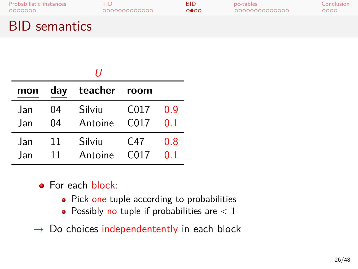## BID semantics

|      |     | 11           |                  |     |
|------|-----|--------------|------------------|-----|
| mon  | day | teacher room |                  |     |
| Jan  | 04  | Silviu       | C017             | 0.9 |
| Jan  | 04  | Antoine      | C <sub>017</sub> | በ 1 |
| .Jan | 11  | Silviu       | C47              | 0.8 |
| .Jan | 11  | Antoine      | C <sub>017</sub> | በ 1 |

- **•** For each block:
	- Pick one tuple according to probabilities
	- Possibly no tuple if probabilities are *<* 1
- *→* Do choices independentently in each block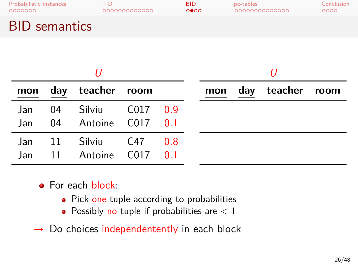# Probabilistic instances TID BID pc-tables Conclusion BID semantics

|            |          | mon day teacher room                   |  |  |  | mon |  | day teacher room |  |
|------------|----------|----------------------------------------|--|--|--|-----|--|------------------|--|
| Jan<br>Jan | 04       | Silviu C017 0.9<br>04 Antoine C017 0.1 |  |  |  |     |  |                  |  |
| Jan<br>Jan | 11<br>11 | Silviu C47 0.8<br>Antoine C017 0.1     |  |  |  |     |  |                  |  |

- **•** For each block:
	- Pick one tuple according to probabilities
	- Possibly no tuple if probabilities are *<* 1
- *→* Do choices independentently in each block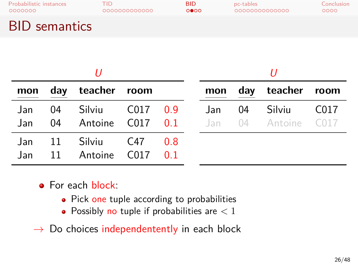# Probabilistic instances TID BID pc-tables Conclusion BID semantics

| mon        |             | day teacher room               |          |                 | mon   |    | day teacher room              |      |
|------------|-------------|--------------------------------|----------|-----------------|-------|----|-------------------------------|------|
| Jan<br>Jan | 04          | Silviu<br>04 Antoine C017 0.1  | C017 0.9 |                 | Jan l | 04 | Silviu<br>Jan 04 Antoine C017 | C017 |
| Jan<br>Jan | -11<br>- 11 | Silviu C47 0.8<br>Antoine C017 |          | $\overline{01}$ |       |    |                               |      |

- **•** For each block:
	- Pick one tuple according to probabilities
	- Possibly no tuple if probabilities are *<* 1
- *→* Do choices independentently in each block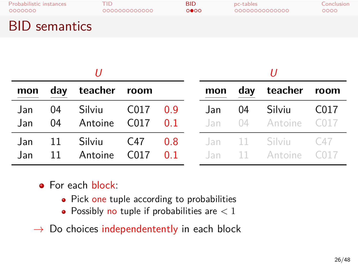| Probabilistic instances | 000000000000 | <b>BID</b> | pc-tables     | Conclusion |
|-------------------------|--------------|------------|---------------|------------|
| 0000000                 |              | 0000       | 0000000000000 | 0000       |
| <b>BID</b> semantics    |              |            |               |            |

| mon          |          | day teacher room       |      |            | mon  |    | day teacher room                    |                  |
|--------------|----------|------------------------|------|------------|------|----|-------------------------------------|------------------|
| Jan.<br>Jan. | 04<br>04 | Silviu<br>Antoine C017 | C017 | 0.9<br>0.1 | Jan. | 04 | Silviu<br>Jan 04 Antoine C017       | C <sub>017</sub> |
| Jan.<br>Jan  | 11<br>11 | Silviu<br>Antoine C017 | C47  | 0.8<br>0.1 |      |    | Jan 11 Silviu C47<br>Jan 11 Antoine | C <sub>017</sub> |

- **•** For each block:
	- Pick one tuple according to probabilities
	- Possibly no tuple if probabilities are *<* 1
- *→* Do choices independentently in each block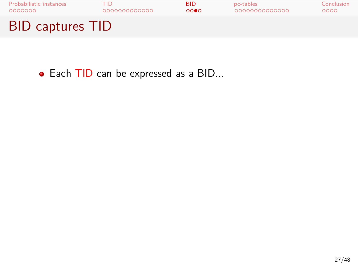

Each TID can be expressed as a BID...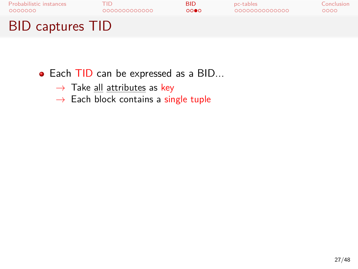

- Each TID can be expressed as a BID...
	- *→* Take all attributes as key
	- *→* Each block contains a single tuple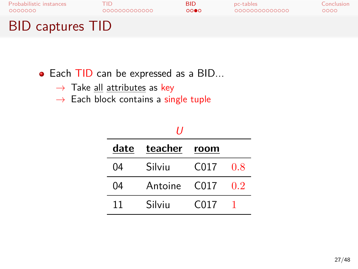

- Each TID can be expressed as a BID...
	- *→* Take all attributes as key
	- *→* Each block contains a single tuple

|    | date teacher room |      |     |  |
|----|-------------------|------|-----|--|
| 04 | Silviu            | C017 | -08 |  |
| 04 | Antoine C017      |      | 02  |  |
| 11 | Silviu            | C017 |     |  |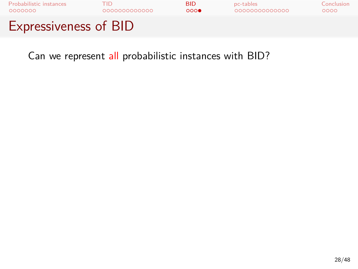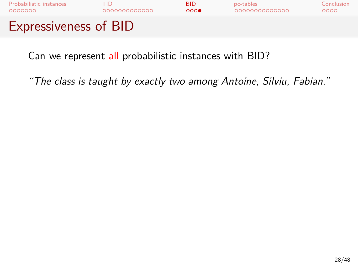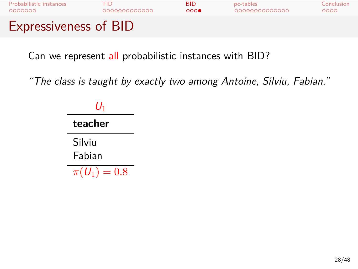

| U1                    |
|-----------------------|
| teacher               |
| Silviu                |
| Fabian                |
| $\pi(U_1)$<br>$= 0.8$ |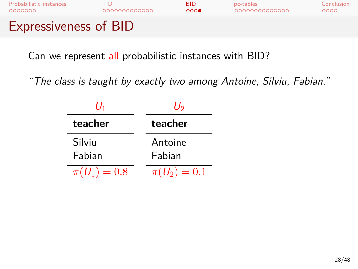

| $U_1$          | U2             |  |
|----------------|----------------|--|
| teacher        | teacher        |  |
| Silviu         | Antoine        |  |
| Fabian         | Fabian         |  |
| $\pi(U_1)=0.8$ | $\pi(U_2)=0.1$ |  |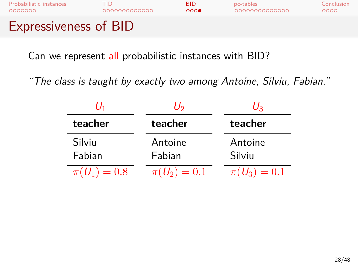

| U1               | U2             | U3               |
|------------------|----------------|------------------|
| teacher          | teacher        | teacher          |
| Silviu           | Antoine        | Antoine          |
| Fabian           | Fabian         | Silviu           |
| $\pi(U_1) = 0.8$ | $\pi(U_2)=0.1$ | $\pi(U_3) = 0.1$ |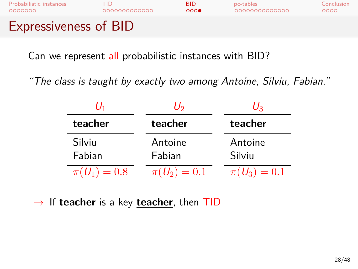

*"The class is taught by exactly two among Antoine, Silviu, Fabian."*

|                  | U2                | $U_3$             |
|------------------|-------------------|-------------------|
| teacher          | teacher           | teacher           |
| Silviu<br>Fabian | Antoine<br>Fabian | Antoine<br>Silviu |
| $\pi(U_1) = 0.8$ | $\pi(U_2) = 0.1$  | $\pi(U_3) = 0.1$  |

*→* If **teacher** is a key **teacher**, then TID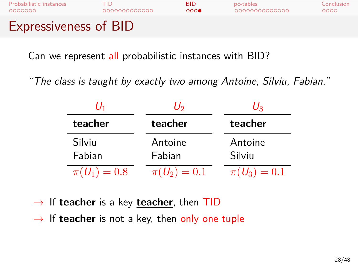

|                  | U2                | U2                |
|------------------|-------------------|-------------------|
| teacher          | teacher           | teacher           |
| Silviu<br>Fabian | Antoine<br>Fabian | Antoine<br>Silviu |
| $\pi(U_1) = 0.8$ | $\pi(U_2) = 0.1$  | $\pi(U_3) = 0.1$  |

- *→* If **teacher** is a key **teacher**, then TID
- *→* If **teacher** is not a key, then only one tuple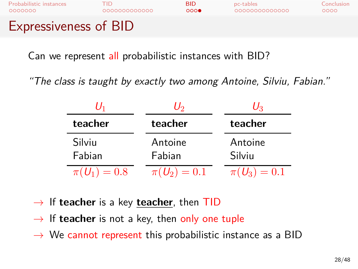

|                  | U2                | U2                |
|------------------|-------------------|-------------------|
| teacher          | teacher           | teacher           |
| Silviu<br>Fabian | Antoine<br>Fabian | Antoine<br>Silviu |
| $\pi(U_1) = 0.8$ | $\pi(U_2)=0.1$    | $\pi(U_3) = 0.1$  |

- *→* If **teacher** is a key **teacher**, then TID
- *→* If **teacher** is not a key, then only one tuple
- *→* We cannot represent this probabilistic instance as a BID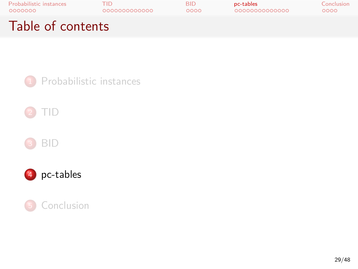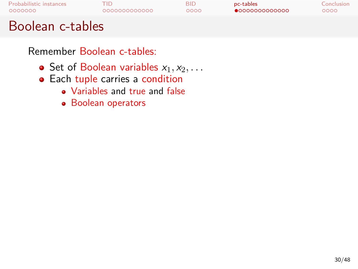Remember Boolean c-tables:

- Set of Boolean variables  $x_1, x_2, \ldots$
- Each tuple carries a condition
	- Variables and true and false
	- Boolean operators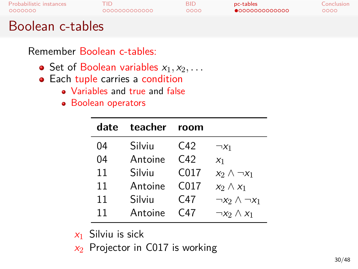#### Boolean c-tables

#### Remember Boolean c-tables:

- Set of Boolean variables  $x_1, x_2, \ldots$
- $\bullet$  Each tuple carries a condition
	- Variables and true and false
		- **•** Boolean operators

| date | teacher | room             |                           |
|------|---------|------------------|---------------------------|
| 04   | Silviu  | C42              | $\neg X_1$                |
| 04   | Antoine | C42              | X <sub>1</sub>            |
| 11   | Silviu  | C017             | $x_2 \wedge \neg x_1$     |
| 11   | Antoine | C <sub>017</sub> | $x_2 \wedge x_1$          |
| 11   | Silviu  | C47              | $\neg x_2 \land \neg x_1$ |
| 11   | Antoine | C47              | $\neg x_2 \wedge x_1$     |

*x*<sup>1</sup> Silviu is sick

*x*<sup>2</sup> Projector in C017 is working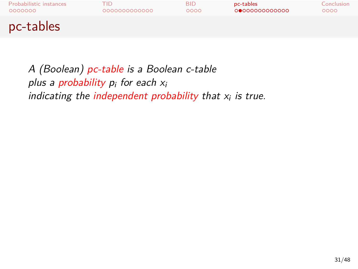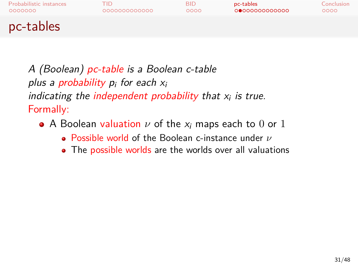- A Boolean valuation *ν* of the *x<sup>i</sup>* maps each to 0 or 1
	- Possible world of the Boolean c-instance under *ν*
	- The possible worlds are the worlds over all valuations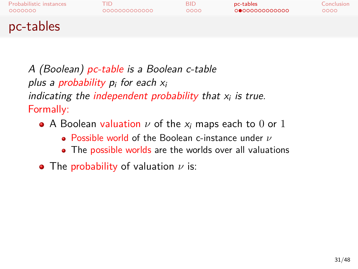

- A Boolean valuation *ν* of the *x<sup>i</sup>* maps each to 0 or 1
	- Possible world of the Boolean c-instance under *ν*
	- The possible worlds are the worlds over all valuations
- The probability of valuation *ν* is: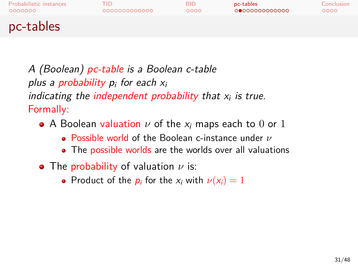- A Boolean valuation *ν* of the *x<sup>i</sup>* maps each to 0 or 1
	- Possible world of the Boolean c-instance under *ν*
	- The possible worlds are the worlds over all valuations
- The probability of valuation *ν* is:
	- Product of the  $p_i$  for the  $x_i$  with  $\nu(x_i) = 1$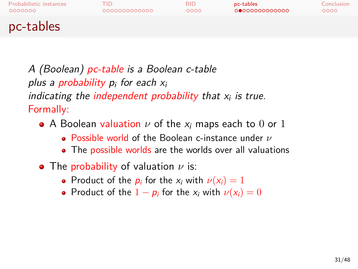- A Boolean valuation *ν* of the *x<sup>i</sup>* maps each to 0 or 1
	- Possible world of the Boolean c-instance under *ν*
	- The possible worlds are the worlds over all valuations
- The probability of valuation *ν* is:
	- Product of the  $p_i$  for the  $x_i$  with  $\nu(x_i) = 1$
	- Product of the  $1 p_i$  for the  $x_i$  with  $\nu(x_i) = 0$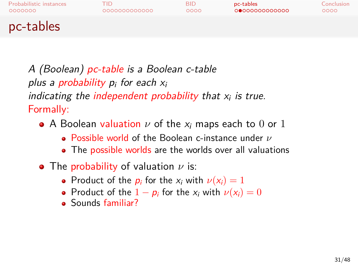- A Boolean valuation *ν* of the *x<sup>i</sup>* maps each to 0 or 1
	- Possible world of the Boolean c-instance under *ν*
	- The possible worlds are the worlds over all valuations
- The probability of valuation *ν* is:
	- Product of the  $p_i$  for the  $x_i$  with  $\nu(x_i) = 1$
	- Product of the  $1 p_i$  for the  $x_i$  with  $\nu(x_i) = 0$
	- Sounds familiar?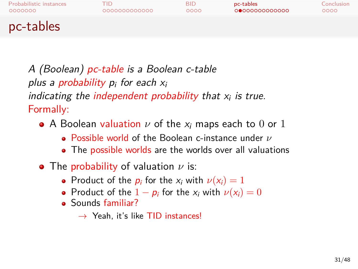- A Boolean valuation *ν* of the *x<sup>i</sup>* maps each to 0 or 1
	- Possible world of the Boolean c-instance under *ν*
	- The possible worlds are the worlds over all valuations
- The probability of valuation *ν* is:
	- Product of the  $p_i$  for the  $x_i$  with  $\nu(x_i) = 1$
	- Product of the  $1 p_i$  for the  $x_i$  with  $\nu(x_i) = 0$
	- Sounds familiar?
		- *→* Yeah, it's like TID instances!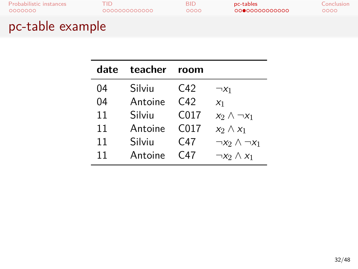## pc-table example

| date | teacher | room             |                           |
|------|---------|------------------|---------------------------|
| 04   | Silviu  | C42              | $\neg x_1$                |
| 04   | Antoine | C42              | $X_1$                     |
| 11   | Silviu  | C017             | $x_2 \wedge \neg x_1$     |
| 11   | Antoine | C <sub>017</sub> | $x_2 \wedge x_1$          |
| 11   | Silviu  | C47              | $\neg x_2 \land \neg x_1$ |
| 11   | Antoine | C47              | $\neg x_2 \wedge x_1$     |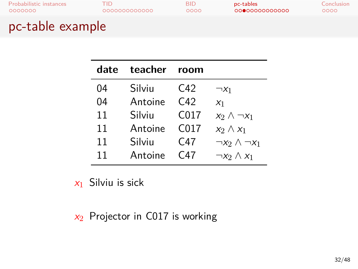## pc-table example

| date | teacher | room             |                           |
|------|---------|------------------|---------------------------|
| 04   | Silviu  | $C_{42}$         | $\neg x_1$                |
| 04   | Antoine | C42              | $X_1$                     |
| 11   | Silviu  | C <sub>017</sub> | $x_2 \wedge \neg x_1$     |
| 11   | Antoine | C <sub>017</sub> | $x_2 \wedge x_1$          |
| 11   | Silviu  | C <sub>47</sub>  | $\neg x_2 \land \neg x_1$ |
| 11   | Antoine | C47              | $\neg x_2 \wedge x_1$     |

*x*<sup>1</sup> Silviu is sick

*x*<sup>2</sup> Projector in C017 is working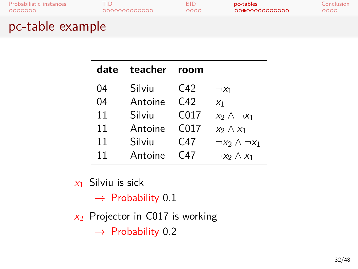## pc-table example

| date | teacher | room             |                           |
|------|---------|------------------|---------------------------|
| 04   | Silviu  | $C_{42}$         | $\neg x_1$                |
| 04   | Antoine | C42              | $X_1$                     |
| 11   | Silviu  | C017             | $x_2 \wedge \neg x_1$     |
| 11   | Antoine | C <sub>017</sub> | $x_2 \wedge x_1$          |
| 11   | Silviu  | C47              | $\neg x_2 \land \neg x_1$ |
| 11   | Antoine | C47              | $\neg x_2 \land x_1$      |

- *x*<sup>1</sup> Silviu is sick
	- *→* Probability 0.1
- *x*<sup>2</sup> Projector in C017 is working
	- *→* Probability 0.2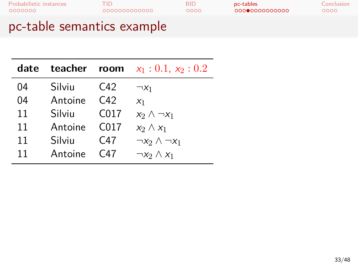**date teacher room** *x*<sup>1</sup> : 0*.*1, *x*<sup>2</sup> : 0*.*2 04 Silviu C42 *¬x*<sup>1</sup> Antoine 11 Silviu C017 *x*<sub>2</sub> *∧*  $\neg x_1$ <br>11 Antoine C017 *x*<sub>2</sub> *∧ x*<sub>1</sub> 11 Antoine C017 *x*<sub>2</sub> ∧ *x*<sub>1</sub><br>11 Silviu C47 ¬*x*<sub>2</sub> ∧ -11 Silviu C47  $\neg x_2 \land \neg x_1$ <br>11 Antoine C47  $\neg x_2 \land x_1$  $\neg x_2 \land x_1$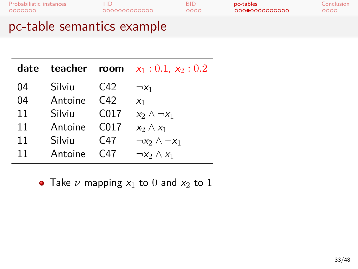| <b>Probabilistic instances</b><br>0000000 | TID.<br>0000000000000 |  |
|-------------------------------------------|-----------------------|--|
|                                           |                       |  |

Probabilistic instances Conclusion<br>Probabilistic instances Conclusion<br>Probabilistic conclusion

## pc-table semantics example

| date |         |                  | <b>teacher room</b> $x_1 : 0.1, x_2 : 0.2$ |
|------|---------|------------------|--------------------------------------------|
| 04   | Silviu  | C42              | $\neg X_1$                                 |
| 04   | Antoine | C42              | X <sub>1</sub>                             |
| 11   | Silviu  | C <sub>017</sub> | $x_2 \wedge \neg x_1$                      |
| 11   | Antoine | C <sub>017</sub> | $x_2 \wedge x_1$                           |
| 11   | Silviu  | C47              | $\neg x_2 \wedge \neg x_1$                 |
| 11   | Antoine | C47              | $\neg x_2 \wedge x_1$                      |

• Take  $\nu$  mapping  $x_1$  to 0 and  $x_2$  to 1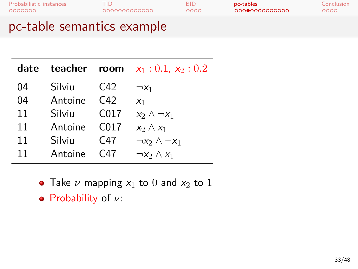## pc-table semantics example

| date |         |                  | <b>teacher</b> room $x_1 : 0.1, x_2 : 0.2$ |
|------|---------|------------------|--------------------------------------------|
| 04   | Silviu  | C42              | $\neg X_1$                                 |
| 04   | Antoine | C42              | X <sub>1</sub>                             |
| 11   | Silviu  | C <sub>017</sub> | $x_2 \wedge \neg x_1$                      |
| 11   | Antoine | C <sub>017</sub> | $x_2 \wedge x_1$                           |
| 11   | Silviu  | C <sub>47</sub>  | $\neg x_2 \wedge \neg x_1$                 |
| 11   | Antoine | C47              | $\neg x_2 \wedge x_1$                      |

• Take  $\nu$  mapping  $x_1$  to 0 and  $x_2$  to 1

Probability of *ν*: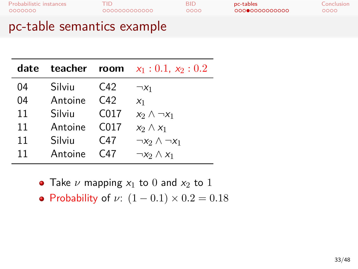pc-table semantics example

| Silviu  | C42              | $\neg x_1$                                 |
|---------|------------------|--------------------------------------------|
| Antoine | C <sub>42</sub>  | X <sub>1</sub>                             |
| Silviu  | C <sub>017</sub> | $x_2 \wedge \neg x_1$                      |
| Antoine | C <sub>017</sub> | $x_2 \wedge x_1$                           |
| Silviu  | C <sub>47</sub>  | $\neg x_2 \wedge \neg x_1$                 |
| Antoine | $C_{47}$         | $\neg x_2 \wedge x_1$                      |
|         |                  | <b>teacher</b> room $x_1 : 0.1, x_2 : 0.2$ |

- Take  $\nu$  mapping  $x_1$  to 0 and  $x_2$  to 1
- Probability of *ν*:  $(1 0.1) \times 0.2 = 0.18$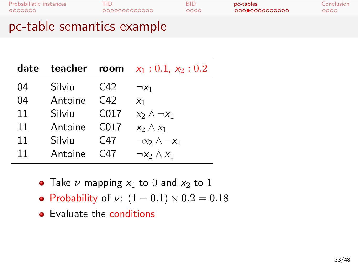#### pc-table semantics example

| Silviu  | C42              | $\neg X_1$                               |
|---------|------------------|------------------------------------------|
| Antoine | C42              | X <sub>1</sub>                           |
| Silviu  | C <sub>017</sub> | $x_2 \wedge \neg x_1$                    |
| Antoine | C <sub>017</sub> | $x_2 \wedge x_1$                         |
| Silviu  | C47              | $\neg x_2 \wedge \neg x_1$               |
| Antoine | C47              | $\neg x_2 \wedge x_1$                    |
|         |                  | <b>teacher room</b> $x_1: 0.1, x_2: 0.2$ |

- Take  $\nu$  mapping  $x_1$  to 0 and  $x_2$  to 1
- Probability of *ν*: (1 *−* 0*.*1) *×* 0*.*2 = 0*.*18
- Evaluate the conditions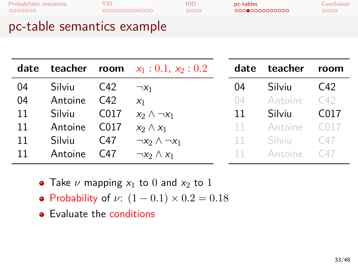|    |         |                  | <b>date teacher room</b> $x_1 : 0.1, x_2 : 0.2$ |  |
|----|---------|------------------|-------------------------------------------------|--|
| 04 | Silviu  | C42              | $\neg X_1$                                      |  |
| 04 | Antoine | $C_{42}$         | X <sub>1</sub>                                  |  |
| 11 | Silviu  | C017             | $x_2 \wedge \neg x_1$                           |  |
| 11 | Antoine | C <sub>017</sub> | $x_2 \wedge x_1$                                |  |
| 11 | Silviu  | C47              | $\neg x_2 \land \neg x_1$                       |  |
| 11 | Antoine | C47              | $\neg x_2 \wedge x_1$                           |  |

| date | teacher | room |
|------|---------|------|
| 04   | Silviu  | C42  |
| 04   | Antoine | C42  |
| 11   | Silviu  | CO17 |
| 11   | Antoine | C017 |
| 11   | Silviu  | C47  |
| 11   | Antoine | C47  |

- Take  $\nu$  mapping  $x_1$  to 0 and  $x_2$  to 1
- Probability of *ν*: (1 *−* 0*.*1) *×* 0*.*2 = 0*.*18
- **•** Evaluate the conditions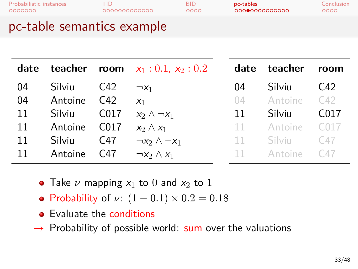| date |         |                  | <b>teacher</b> room $x_1 : 0.1, x_2 : 0.2$ | date   | teacher       | room              |
|------|---------|------------------|--------------------------------------------|--------|---------------|-------------------|
| 04   | Silviu  | C42              | $\neg X_1$                                 | 04     | Silviu        | $C_{42}$          |
| 04   | Antoine | C42              | X <sub>1</sub>                             | 04     | Antoine       | C42               |
| 11   | Silviu  | C017             | $x_2 \wedge \neg x_1$                      | 11     | Silviu        | C <sub>0</sub> 17 |
| 11   | Antoine | C <sub>017</sub> | $x_2 \wedge x_1$                           | $11 -$ | Antoine       | C <sub>017</sub>  |
| 11   | Silviu  | C47              | $\neg x_2 \wedge \neg x_1$                 | $11 -$ | <b>Silviu</b> | C47               |
| 11   | Antoine | C47              | $\neg x_2 \wedge x_1$                      | $11 -$ | Antoine       | C47               |

- Take  $\nu$  mapping  $x_1$  to 0 and  $x_2$  to 1
- Probability of *ν*:  $(1 0.1) \times 0.2 = 0.18$
- Evaluate the conditions
- *→* Probability of possible world: sum over the valuations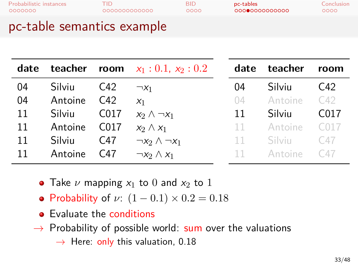| date |         |                  | <b>teacher</b> room $x_1: 0.1, x_2: 0.2$ | da     |
|------|---------|------------------|------------------------------------------|--------|
| 04   | Silviu  | C <sub>42</sub>  | $\neg X_1$                               | 04     |
| 04   | Antoine | C42              | X <sub>1</sub>                           | 04     |
| 11   | Silviu  | C <sub>017</sub> | $x_2 \wedge \neg x_1$                    | 11     |
| 11   | Antoine | C <sub>017</sub> | $x_2 \wedge x_1$                         | $11 -$ |
| 11   | Silviu  | C47              | $\neg x_2 \wedge \neg x_1$               | 11     |
| 11   | Antoine | C47              | $\neg x_2 \wedge x_1$                    | 11.    |

| date | teacher | room |
|------|---------|------|
| 04   | Silviu  | C42  |
| 04   | Antoine | C42  |
| 11   | Silviu  | CO17 |
| 11   | Antoine | C017 |
| 11   | Silviu  | C47  |
| 11   | Antoine | C 47 |

- Take  $\nu$  mapping  $x_1$  to 0 and  $x_2$  to 1
- Probability of *ν*:  $(1 0.1) \times 0.2 = 0.18$
- **•** Evaluate the conditions
- *→* Probability of possible world: sum over the valuations
	- *→* Here: only this valuation, 0.18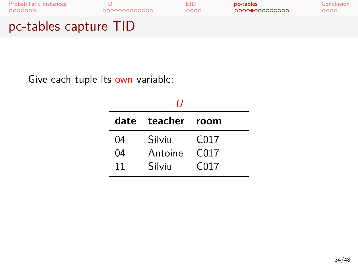

Give each tuple its own variable:

|    | 11                |                  |
|----|-------------------|------------------|
|    | date teacher room |                  |
| 04 | Silviu            | C017             |
| 04 | Antoine           | C <sub>017</sub> |
| 11 | Silviu            | C <sub>017</sub> |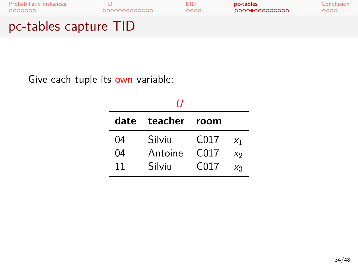

Give each tuple its own variable:

|      | 11      |      |                |
|------|---------|------|----------------|
| date | teacher | room |                |
| 04   | Silviu  | C017 | X <sub>1</sub> |
| 04   | Antoine | C017 | X <sub>2</sub> |
| 11   | Silviu  | C017 | Xз             |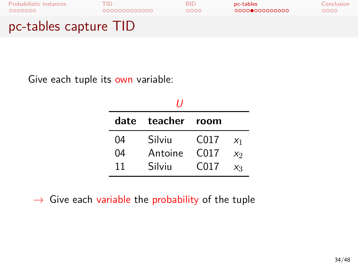

Give each tuple its own variable:

|      | 11      |      |                |
|------|---------|------|----------------|
| date | teacher | room |                |
| 04   | Silviu  | C017 | X <sub>1</sub> |
| 04   | Antoine | C017 | X <sub>2</sub> |
| 11   | Silviu  | C017 | $X_3$          |

*→* Give each variable the probability of the tuple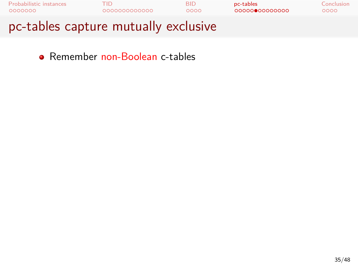

Remember non-Boolean c-tables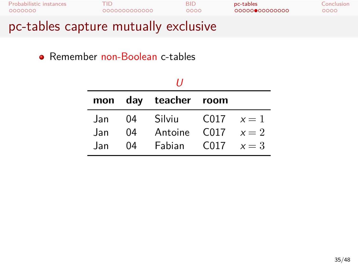| <b>Probabilistic instances</b>       | TID.         | BID. | pc-tables     | Conclusion |
|--------------------------------------|--------------|------|---------------|------------|
| 0000000                              | 000000000000 | 0000 | 0000000000000 | 0000       |
| pc-tables capture mutually exclusive |              |      |               |            |

## Remember non-Boolean c-tables

|      |    | mon day teacher room   |  |  |
|------|----|------------------------|--|--|
| Jan  | 04 | Silviu C017 $x=1$      |  |  |
| .Jan | 04 | Antoine $C017 \t x=2$  |  |  |
| Jan. | 04 | Fabian $C_{017}$ $x=3$ |  |  |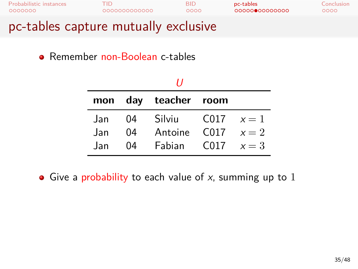| <b>Probabilistic instances</b>       | TID          | BID. | pc-tables     | Conclusion |
|--------------------------------------|--------------|------|---------------|------------|
| 0000000                              | 000000000000 | 0000 | 0000000000000 | 0000       |
| pc-tables capture mutually exclusive |              |      |               |            |

#### Remember non-Boolean c-tables

| ,,    |    |                        |  |  |
|-------|----|------------------------|--|--|
|       |    | mon day teacher room   |  |  |
| Jan   |    | 04 Silviu C017 $x = 1$ |  |  |
| .Jan  | 04 | Antoine $C017 \t x=2$  |  |  |
| . Jan | 04 | Fabian C017 $x=3$      |  |  |

Give a probability to each value of *x*, summing up to 1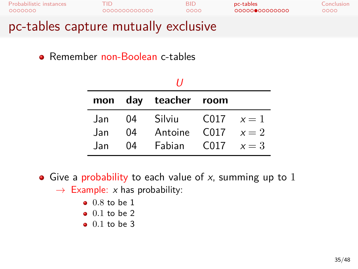| Probabilistic instances                         | "ID.         | RID  | pc-tables     | Conclusion |
|-------------------------------------------------|--------------|------|---------------|------------|
| 0000000                                         | 000000000000 | റററെ | 0000000000000 | 0000       |
| لمتنامينا متنم ببالمنتشبيون مستشفوه لمملوط لمعا |              |      |               |            |

#### pc-tables capture mutually exclusive

Remember non-Boolean c-tables

|     |    | mon day teacher room    |               |  |
|-----|----|-------------------------|---------------|--|
| Jan | 04 | Silviu                  | $C017 \t x=1$ |  |
| Jan | 04 | Antoine $C_{017}$ $x=2$ |               |  |
| Jan | 04 | Fabian C017 $x=3$       |               |  |

- Give a probability to each value of *x*, summing up to 1 *→* Example: *x* has probability:
	- 0*.*8 to be 1
	- 0*.*1 to be 2
	- 0*.*1 to be 3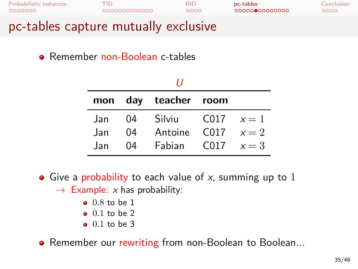| Probabilistic instances                         | TID.         | RID  | pc-tables     | Conclusion |
|-------------------------------------------------|--------------|------|---------------|------------|
| 0000000                                         | 000000000000 | റററെ | 0000000000000 | 0000       |
| لمتنامينا متنم ببالمنتشبيون مستشفوه لمملوط لمعا |              |      |               |            |

#### pc-tables capture mutually exclusive

Remember non-Boolean c-tables

|      |    | mon day teacher room    |               |  |
|------|----|-------------------------|---------------|--|
| Jan  | 04 | Silviu                  | $C_{017} x=1$ |  |
| Jan  | 04 | Antoine $C_{017}$ $x=2$ |               |  |
| .Jan | 04 | Fabian C017 $x=3$       |               |  |

- Give a probability to each value of *x*, summing up to 1 *→* Example: *x* has probability:
	- 0*.*8 to be 1
	- 0*.*1 to be 2
	- 0*.*1 to be 3
- **•** Remember our rewriting from non-Boolean to Boolean...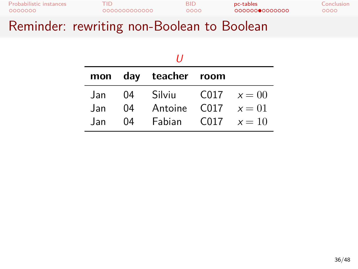| Probabilistic instances  | "ID.         | BID  | pc-tables     | Conclusion |
|--------------------------|--------------|------|---------------|------------|
| 0000000                  | 000000000000 | 0000 | 0000000000000 | 0000       |
| $\overline{\phantom{a}}$ |              | -    |               |            |

#### Reminder: rewriting non-Boolean to Boolean

| 11   |    |                          |  |  |
|------|----|--------------------------|--|--|
|      |    | mon day teacher room     |  |  |
| .Jan | 04 | Silviu C017 $x = 00$     |  |  |
| .Jan | 04 | Antoine $C_{017}$ $x=01$ |  |  |
| lan  | 04 | Fabian C017 $x=10$       |  |  |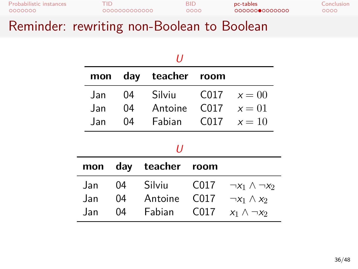| 0000000<br>$\overline{\phantom{a}}$ | 000000000000 | 0000 | 0000000000000 | ೦೦೦೦       |
|-------------------------------------|--------------|------|---------------|------------|
| Probabilistic instances             | חד           | BID  | pc-tables     | Conclusion |

#### Reminder: rewriting non-Boolean to Boolean

| H    |     |     |         |                  |                            |
|------|-----|-----|---------|------------------|----------------------------|
|      | mon | day | teacher | room             |                            |
| Jan  |     | 04  | Silviu  | C017             | $x=00$                     |
| Jan  |     | 04  | Antoine | C <sub>017</sub> | $x=01$                     |
| .Jan |     | 04  | Fabian  | C <sub>017</sub> | $x=10$                     |
|      | IJ  |     |         |                  |                            |
| mon  |     | day | teacher | room             |                            |
| Jan  |     | 04  | Silviu  | C017             | $\neg x_1 \wedge \neg x_2$ |
| Jan  |     | 04  | Antoine | C017             | $\neg x_1 \wedge x_2$      |
| Jan  |     | 04  | Fabian  | C017             | $x_1 \wedge \neg x_2$      |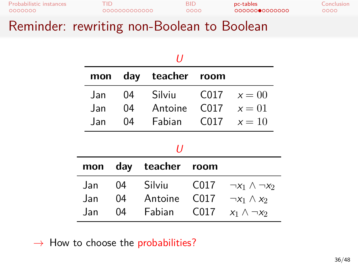| Probabilistic instances                                       | TID.                                   | BID  | pc-tables     | Conclusion |
|---------------------------------------------------------------|----------------------------------------|------|---------------|------------|
| 0000000                                                       | 000000000000                           | 0000 | 0000000000000 | 0000       |
| $\overline{\phantom{a}}$<br><b>Contract Contract Contract</b> | the control of the control of the con- |      | _             |            |

#### Reminder: rewriting non-Boolean to Boolean

| 11   |     |         |                  |                            |
|------|-----|---------|------------------|----------------------------|
| mon  | day | teacher | room             |                            |
| Jan  | 04  | Silviu  | C <sub>017</sub> | $x=00$                     |
| Jan  | 04  | Antoine | C <sub>017</sub> | $x=01$                     |
| .Jan | 04  | Fabian  | C <sub>017</sub> | $x=10$                     |
| H    |     |         |                  |                            |
| mon  | day | teacher | room             |                            |
| .Jan | 04  | Silviu  | C017             | $\neg x_1 \wedge \neg x_2$ |
| Jan  | 04  | Antoine | C017             | $\neg x_1 \wedge x_2$      |
| Jan  | 04  | Fabian  | C017             | $x_1 \wedge \neg x_2$      |

*→* How to choose the probabilities?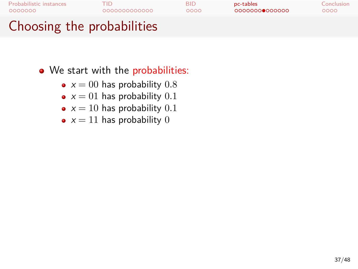- We start with the probabilities:
	- $x = 00$  has probability 0.8
	- $x = 01$  has probability  $0.1$
	- $x = 10$  has probability  $0.1$
	- $x = 11$  has probability 0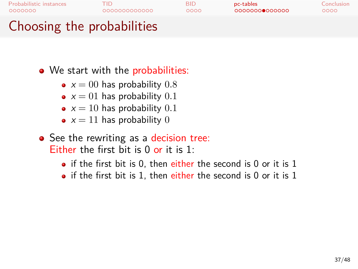- We start with the probabilities:
	- $x = 00$  has probability 0.8
	- $x = 01$  has probability 0.1
	- $x = 10$  has probability  $0.1$
	- $x = 11$  has probability 0
- See the rewriting as a decision tree: Either the first bit is 0 or it is 1:
	- $\bullet$  if the first bit is 0, then either the second is 0 or it is 1
	- $\bullet$  if the first bit is 1, then either the second is 0 or it is 1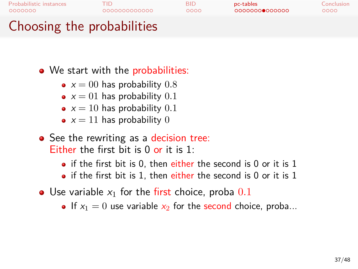- We start with the probabilities:
	- $x = 00$  has probability  $0.8$
	- $x = 01$  has probability 0.1
	- $x = 10$  has probability  $0.1$
	- $x = 11$  has probability 0
- See the rewriting as a decision tree: Either the first bit is 0 or it is 1:
	- $\bullet$  if the first bit is 0, then either the second is 0 or it is 1
	- $\bullet$  if the first bit is 1, then either the second is 0 or it is 1
- Use variable *x*<sup>1</sup> for the first choice, proba 0*.*1
	- If  $x_1 = 0$  use variable  $x_2$  for the second choice, proba...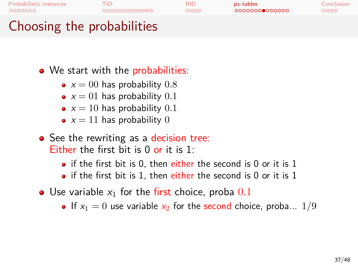- We start with the probabilities:
	- $x = 00$  has probability  $0.8$
	- $x = 01$  has probability 0.1
	- $x = 10$  has probability  $0.1$
	- $x = 11$  has probability 0
- See the rewriting as a decision tree: Either the first bit is 0 or it is 1:
	- $\bullet$  if the first bit is 0, then either the second is 0 or it is 1
	- $\bullet$  if the first bit is 1, then either the second is 0 or it is 1
- Use variable *x*<sup>1</sup> for the first choice, proba 0*.*1
	- If  $x_1 = 0$  use variable  $x_2$  for the second choice, proba...  $1/9$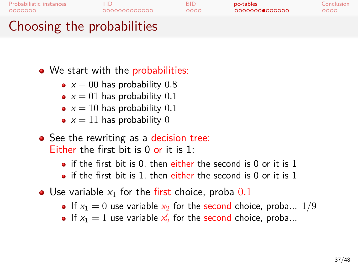- We start with the probabilities:
	- $x = 00$  has probability  $0.8$
	- $x = 01$  has probability 0.1
	- $x = 10$  has probability  $0.1$
	- $x = 11$  has probability 0
- See the rewriting as a decision tree: Either the first bit is 0 or it is 1:
	- $\bullet$  if the first bit is 0, then either the second is 0 or it is 1
	- $\bullet$  if the first bit is 1, then either the second is 0 or it is 1
- Use variable *x*<sup>1</sup> for the first choice, proba 0*.*1
	- If  $x_1 = 0$  use variable  $x_2$  for the second choice, proba...  $1/9$
	- If  $x_1 = 1$  use variable  $x'_2$  for the second choice, proba...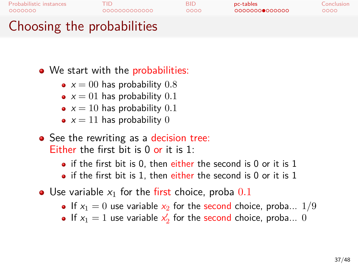- We start with the probabilities:
	- $x = 00$  has probability  $0.8$
	- $x = 01$  has probability 0.1
	- $x = 10$  has probability  $0.1$
	- $x = 11$  has probability 0
- See the rewriting as a decision tree: Either the first bit is 0 or it is 1:
	- $\bullet$  if the first bit is 0, then either the second is 0 or it is 1
	- $\bullet$  if the first bit is 1, then either the second is 0 or it is 1
- Use variable *x*<sup>1</sup> for the first choice, proba 0*.*1
	- If  $x_1 = 0$  use variable  $x_2$  for the second choice, proba...  $1/9$
	- If  $x_1 = 1$  use variable  $x'_2$  for the second choice, proba... 0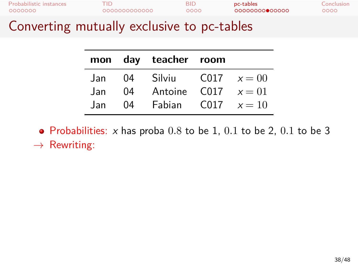| Probabilistic instances | TID          | <b>BID</b> | pc-tables      | Conclusion |
|-------------------------|--------------|------------|----------------|------------|
| 0000000                 | 000000000000 | 0000       | 00000000000000 | 0000       |
|                         |              |            |                |            |

#### Converting mutually exclusive to pc-tables

|      |    | mon day teacher room        |  |
|------|----|-----------------------------|--|
|      |    | Jan 04 Silviu C017 $x = 00$ |  |
| Jan. | 04 | Antoine C017 $x=01$         |  |
| .Jan | 04 | Fabian C017 $x=10$          |  |

Probabilities: *x* has proba 0*.*8 to be 1, 0*.*1 to be 2, 0*.*1 to be 3

*→* Rewriting: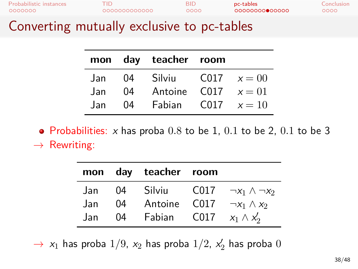| Probabilistic instances | TID          | BID  | pc-tables      | Conclusion |
|-------------------------|--------------|------|----------------|------------|
| 0000000                 | 000000000000 | 0000 | 00000000000000 | 0000       |
|                         |              |      |                |            |

#### Converting mutually exclusive to pc-tables

|      |    | mon day teacher room     |  |
|------|----|--------------------------|--|
| Jan  | 04 | Silviu $C017 \t x=00$    |  |
| Jan. | 04 | Antoine $CO17 \t x = 01$ |  |
| .Jan | 04 | Fabian $CO17 \t x = 10$  |  |

Probabilities: *x* has proba 0*.*8 to be 1, 0*.*1 to be 2, 0*.*1 to be 3 *→* Rewriting:

|      |    | mon day teacher room |                                        |
|------|----|----------------------|----------------------------------------|
| Jan  | 04 |                      | Silviu C017 $\neg x_1 \wedge \neg x_2$ |
| Jan  | 04 |                      | Antoine C017 $\neg x_1 \wedge x_2$     |
| Jan. | 04 | Fabian C017          | $x_1 \wedge x_2'$                      |

 $\rightarrow$  *x*<sub>1</sub> has proba 1/9, *x*<sub>2</sub> has proba 1/2, *x*<sub>2</sub> has proba 0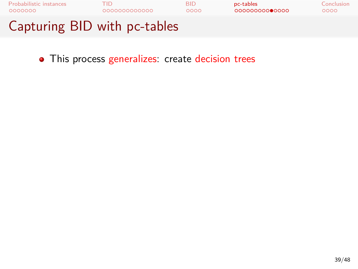

• This process generalizes: create decision trees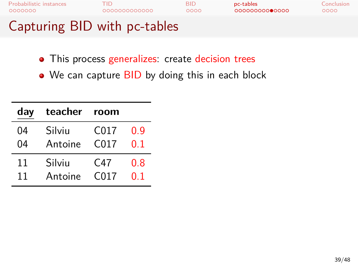| Capturing BID with pc-tables |              |            |                |            |
|------------------------------|--------------|------------|----------------|------------|
| Probabilistic instances      | TID          | <b>BID</b> | pc-tables      | Conclusion |
| 0000000                      | 000000000000 | 0000       | 00000000000000 | 0000       |

- This process generalizes: create decision trees
- We can capture BID by doing this in each block

| day | teacher | room             |         |
|-----|---------|------------------|---------|
| 04  | Silviu  | C017             | 0.9     |
| 04  | Antoine | C <sub>017</sub> | በ 1     |
| 11  | Silviu  | C47              | $0.8\,$ |
| 11  | Antoine | C <sub>017</sub> | 0 1     |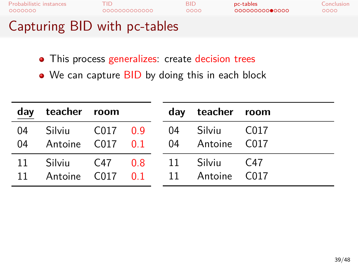| Probabilistic instances      | TID          | BID  | pc-tables      | Conclusion |
|------------------------------|--------------|------|----------------|------------|
| 0000000                      | 000000000000 | 0000 | 00000000000000 | 0000       |
| Capturing BID with pc-tables |              |      |                |            |

- This process generalizes: create decision trees
- We can capture BID by doing this in each block

| day      | teacher room              |  | day teacher room                 |      |
|----------|---------------------------|--|----------------------------------|------|
| 04<br>04 | Silviu C017 0.9 04 Silviu |  | Antoine C017 0.1 04 Antoine C017 | C017 |
| 11<br>11 | Silviu C47 0.8 11 Silviu  |  | Antoine C017 0.1 11 Antoine C017 | C47  |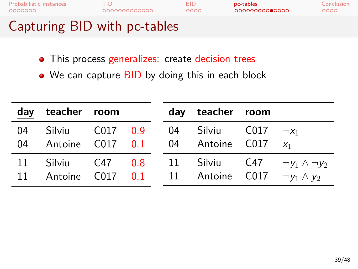| 0000000<br>Capturing BID with pc-tables | 000000000000 | 0000       | 00000000000000 | 0000       |
|-----------------------------------------|--------------|------------|----------------|------------|
| Probabilistic instances                 | TID          | <b>BID</b> | pc-tables      | Conclusion |

- This process generalizes: create decision trees
- We can capture BID by doing this in each block

|    | day teacher room                                             |  | day teacher room          |                                                         |
|----|--------------------------------------------------------------|--|---------------------------|---------------------------------------------------------|
| 04 | Silviu C017 0.9<br>04 Antoine C017 0.1 04 Antoine C017 $x_1$ |  | 04 Silviu C017 $\neg x_1$ |                                                         |
| 11 | 11 Antoine C017 0.1 11 Antoine C017 $\neg y_1 \wedge y_2$    |  |                           | Silviu C47 0.8 11 Silviu C47 $\neg y_1 \wedge \neg y_2$ |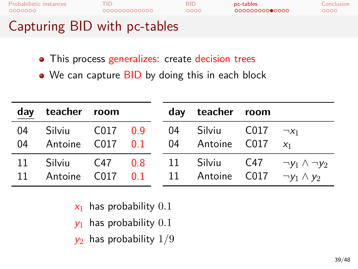| 0000000<br>Capturing BID with pc-tables | 000000000000 | 0000       | 00000000000000 | 0000       |
|-----------------------------------------|--------------|------------|----------------|------------|
| Probabilistic instances                 | TID          | <b>BID</b> | pc-tables      | Conclusion |

- This process generalizes: create decision trees
- We can capture BID by doing this in each block

|    | day teacher room                                                                             |  | day teacher room                          |                            |
|----|----------------------------------------------------------------------------------------------|--|-------------------------------------------|----------------------------|
| 04 | 04 Antoine C017 0.1 04 Antoine C017 $x_1$                                                    |  | Silviu C017 0.9 04 Silviu C017 $\neg x_1$ |                            |
|    | 11 Silviu C47 0.8 11 Silviu C47<br>11 Antoine C017 0.1 11 Antoine C017 $\neg y_1 \wedge y_2$ |  |                                           | $\neg y_1 \wedge \neg y_2$ |

- *x*<sup>1</sup> has probability 0*.*1
- *y*<sup>1</sup> has probability 0*.*1
- *y*<sup>2</sup> has probability 1/9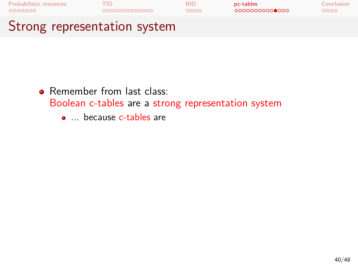

- Remember from last class:
	- Boolean c-tables are a strong representation system
		- ... because c-tables are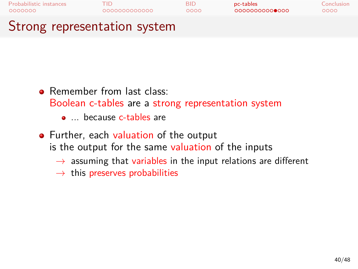

- Remember from last class:
	- Boolean c-tables are a strong representation system
		- ... because c-tables are
- Further, each valuation of the output is the output for the same valuation of the inputs
	- *→* assuming that variables in the input relations are different
	- *→* this preserves probabilities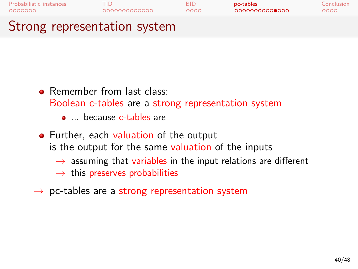

- Remember from last class:
	- Boolean c-tables are a strong representation system
		- ... because c-tables are
- Further, each valuation of the output is the output for the same valuation of the inputs
	- *→* assuming that variables in the input relations are different
	- *→* this preserves probabilities
- *→* pc-tables are a strong representation system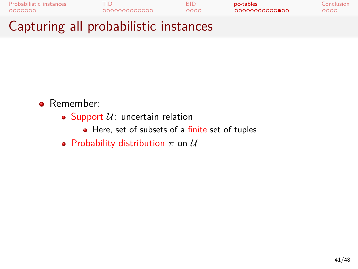| Controllate all musicalitation instalance |              |      |                |            |
|-------------------------------------------|--------------|------|----------------|------------|
| Probabilistic instances                   | 000000000000 | RID  | pc-tables      | Conclusion |
| 0000000                                   |              | ററററ | 00000000000000 | ೦೦೦೦       |

#### Capturing all probabilistic instances

- Remember:
	- $\bullet$  Support  $U:$  uncertain relation
		- Here, set of subsets of a finite set of tuples
	- Probability distribution *π* on *U*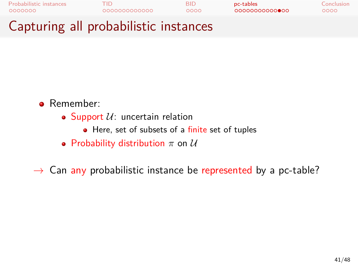

#### Capturing all probabilistic instances

- **•** Remember:
	- $\bullet$  Support  $U$ : uncertain relation
		- Here, set of subsets of a finite set of tuples
	- Probability distribution *π* on *U*

*→* Can any probabilistic instance be represented by a pc-table?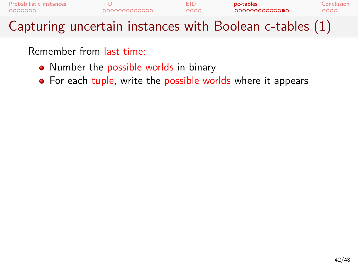

- Number the possible worlds in binary
- For each tuple, write the possible worlds where it appears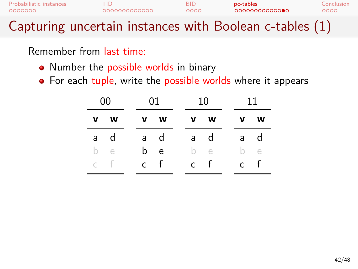| Probabilistic instances | TID                                                     | <b>BID</b> | pc-tables      | Conclusion |
|-------------------------|---------------------------------------------------------|------------|----------------|------------|
| 0000000                 | 0000000000000                                           | 0000       | 00000000000000 | റററെ       |
|                         | Capturing uncertain instances with Boolean c-tables (1) |            |                |            |

- Number the possible worlds in binary
- For each tuple, write the possible worlds where it appears

| $00 -$ |     | 01  | 10 |     |     | 11      |
|--------|-----|-----|----|-----|-----|---------|
| v w    |     | v w |    | v w |     | v w     |
| a d    |     | a d |    | a d |     | a d     |
| b e    |     | b e |    | b e |     | $h \in$ |
| c f    | c f |     |    | c f | c f |         |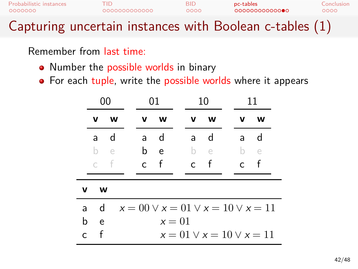| Probabilistic instances<br>0000000 | гнэ<br>000000000000                                     | <b>BID</b><br>0000 | pc-tables | 0000000000000 | Conclusion<br>റററെ |
|------------------------------------|---------------------------------------------------------|--------------------|-----------|---------------|--------------------|
|                                    | Capturing uncertain instances with Boolean c-tables (1) |                    |           |               |                    |

- Number the possible worlds in binary
- For each tuple, write the possible worlds where it appears

|              |    | 00           | 01  |                                              |  | 10           |          | 11 |              |                                  |  |
|--------------|----|--------------|-----|----------------------------------------------|--|--------------|----------|----|--------------|----------------------------------|--|
|              | v  | <b>W</b>     | v   | <b>W</b>                                     |  | v            | <b>W</b> |    | v            | W                                |  |
|              | a. | d            | a   | d                                            |  | a            | d        |    | a            | d                                |  |
|              |    | b e          | b e |                                              |  | - be         |          |    | $b -$        | e                                |  |
|              |    | c f          | c f |                                              |  | $\mathsf{C}$ | $-f$     |    | $\mathsf{C}$ | f                                |  |
| v            | w  |              |     |                                              |  |              |          |    |              |                                  |  |
| a            |    | $\mathsf{d}$ |     | $x = 00 \vee x = 01 \vee x = 10 \vee x = 11$ |  |              |          |    |              |                                  |  |
| b            | e  |              |     | $x=01$                                       |  |              |          |    |              |                                  |  |
| $\mathsf{C}$ | f  |              |     |                                              |  |              |          |    |              | $x = 01 \vee x = 10 \vee x = 11$ |  |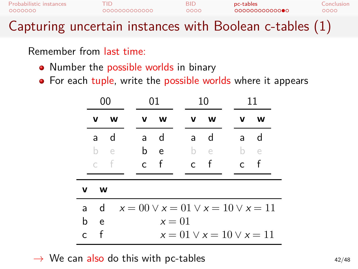| Probabilistic instances | TID          | <b>BID</b> | pc-tables                                               | Conclusion |
|-------------------------|--------------|------------|---------------------------------------------------------|------------|
| 0000000                 | 000000000000 | 0000       | 00000000000000                                          | 0000       |
|                         |              |            | Capturing uncertain instances with Boolean c-tables (1) |            |

- Number the possible worlds in binary
- For each tuple, write the possible worlds where it appears

|              |   | 00         |              | 01           |  | 10           |            |              |                                              |  |  | 11 |  |  |
|--------------|---|------------|--------------|--------------|--|--------------|------------|--------------|----------------------------------------------|--|--|----|--|--|
|              | v | w          | v            | W            |  | v            | w          | v            | w                                            |  |  |    |  |  |
|              | a | d          | a            | $\mathsf{d}$ |  | a            | d          | a            | d                                            |  |  |    |  |  |
|              | b | $\epsilon$ | b            | e            |  | b.           | $\epsilon$ | b.           | $\epsilon$                                   |  |  |    |  |  |
|              |   | -f         | $\mathsf{C}$ | $-$ f        |  | $\mathsf{C}$ | $-f$       | $\mathsf{C}$ | f                                            |  |  |    |  |  |
| v            | w |            |              |              |  |              |            |              |                                              |  |  |    |  |  |
| a            | d |            |              |              |  |              |            |              | $x = 00 \vee x = 01 \vee x = 10 \vee x = 11$ |  |  |    |  |  |
| b            | e |            |              | $x=01$       |  |              |            |              |                                              |  |  |    |  |  |
| $\mathsf{C}$ | f |            |              |              |  |              |            |              | $x = 01 \vee x = 10 \vee x = 11$             |  |  |    |  |  |

→ We can also do this with pc-tables  $\rightarrow$  Me can also do this with pc-tables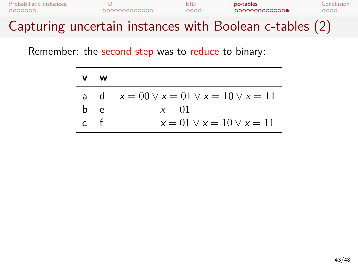| <b>Probabilistic instances</b> | EID.         | RID. | pc-tables                                               | Conclusion |
|--------------------------------|--------------|------|---------------------------------------------------------|------------|
| 0000000                        | 000000000000 | 0000 | 0000000000000                                           | റററെ       |
|                                |              |      | Capturing uncertain instances with Boolean c-tables (2) |            |

| v   | w  |                                                  |
|-----|----|--------------------------------------------------|
|     |    | a d $x = 00 \lor x = 01 \lor x = 10 \lor x = 11$ |
| h.  | e. | $x=01$                                           |
| r t |    | $x = 01 \vee x = 10 \vee x = 11$                 |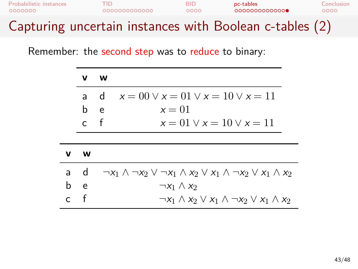| Probabilistic instances                                 | FID.          | RID. | pc-tables     | Conclusion |
|---------------------------------------------------------|---------------|------|---------------|------------|
| 0000000                                                 | 0000000000000 | 0000 | 0000000000000 | റററെ       |
| Capturing uncertain instances with Boolean c-tables (2) |               |      |               |            |

|   | v            | <b>W</b>                                                                                         |
|---|--------------|--------------------------------------------------------------------------------------------------|
|   | a.           | $x = 00 \vee x = 01 \vee x = 10 \vee x = 11$<br>$\mathsf{d}$                                     |
|   | b            | $x=01$<br>e                                                                                      |
|   | $\mathsf{C}$ | $-$ f<br>$x = 01 \vee x = 10 \vee x = 11$                                                        |
|   |              |                                                                                                  |
| v | W            |                                                                                                  |
|   | a d          | $\neg x_1 \wedge \neg x_2 \vee \neg x_1 \wedge x_2 \vee x_1 \wedge \neg x_2 \vee x_1 \wedge x_2$ |
| b | e            | $\neg x_1 \wedge x_2$                                                                            |
|   | f            | $\neg x_1 \wedge x_2 \vee x_1 \wedge \neg x_2 \vee x_1 \wedge x_2$                               |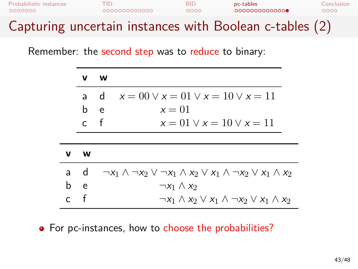| Probabilistic instances | 0000000000000 | RID  | pc-tables                                               | Conclusion |
|-------------------------|---------------|------|---------------------------------------------------------|------------|
| 0000000                 |               | 0000 | 0000000000000                                           | റററെ       |
|                         |               |      | Capturing uncertain instances with Boolean c-tables (2) |            |

|   | v            | w                                                                                                |  |
|---|--------------|--------------------------------------------------------------------------------------------------|--|
|   | a.           | $x = 00 \vee x = 01 \vee x = 10 \vee x = 11$<br>$\mathsf{d}$                                     |  |
|   | b            | $x=01$<br>e                                                                                      |  |
|   | $\mathsf{C}$ | $-f$<br>$x = 01 \vee x = 10 \vee x = 11$                                                         |  |
|   |              |                                                                                                  |  |
| v | w            |                                                                                                  |  |
|   | a d          | $\neg x_1 \wedge \neg x_2 \vee \neg x_1 \wedge x_2 \vee x_1 \wedge \neg x_2 \vee x_1 \wedge x_2$ |  |
| b | e.           | $\neg x_1 \wedge x_2$                                                                            |  |
|   | f            | $\neg x_1 \wedge x_2 \vee x_1 \wedge \neg x_2 \vee x_1 \wedge x_2$                               |  |

• For pc-instances, how to choose the probabilities?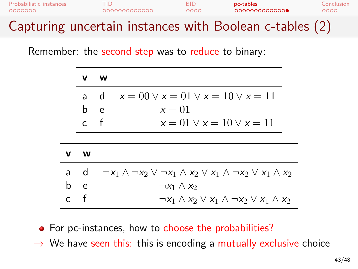| Probabilistic instances | FID.         | BID. | pc-tables                                               | Conclusion |
|-------------------------|--------------|------|---------------------------------------------------------|------------|
| 0000000                 | 000000000000 | 0000 | 0000000000000                                           | റററെ       |
|                         |              |      | Capturing uncertain instances with Boolean c-tables (2) |            |

|   | v            | w                                                                                                |
|---|--------------|--------------------------------------------------------------------------------------------------|
|   | a.           | $x = 00 \vee x = 01 \vee x = 10 \vee x = 11$<br>-d                                               |
|   | b            | $x=01$<br>e                                                                                      |
|   | $\mathsf{C}$ | f<br>$x = 01 \vee x = 10 \vee x = 11$                                                            |
|   |              |                                                                                                  |
| v | w            |                                                                                                  |
|   | a d          | $\neg x_1 \wedge \neg x_2 \vee \neg x_1 \wedge x_2 \vee x_1 \wedge \neg x_2 \vee x_1 \wedge x_2$ |
| b | e e          | $\neg x_1 \wedge x_2$                                                                            |
|   | f            | $\neg x_1 \wedge x_2 \vee x_1 \wedge \neg x_2 \vee x_1 \wedge x_2$                               |

• For pc-instances, how to choose the probabilities?

*→* We have seen this: this is encoding a mutually exclusive choice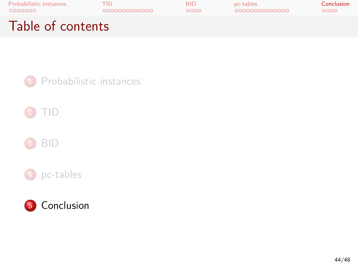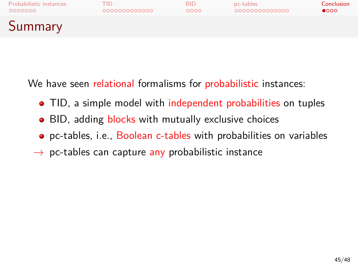# Probabilistic instances TID BID pc-tables Conclusion Summary

We have seen relational formalisms for probabilistic instances:

- TID, a simple model with independent probabilities on tuples
- BID, adding blocks with mutually exclusive choices
- pc-tables, i.e., Boolean c-tables with probabilities on variables
- *→* pc-tables can capture any probabilistic instance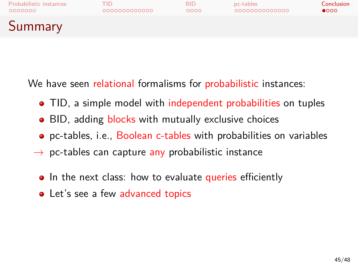#### Probabilistic instances TID BID pc-tables Conclusion

Summary

We have seen relational formalisms for probabilistic instances:

- TID, a simple model with independent probabilities on tuples
- BID, adding blocks with mutually exclusive choices
- pc-tables, i.e., Boolean c-tables with probabilities on variables
- *→* pc-tables can capture any probabilistic instance
- In the next class: how to evaluate queries efficiently
- Let's see a few advanced topics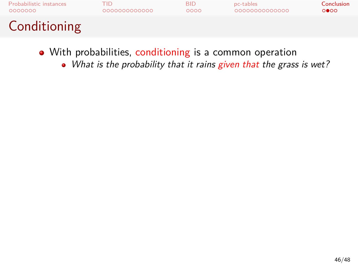

- With probabilities, conditioning is a common operation
	- *What is the probability that it rains given that the grass is wet?*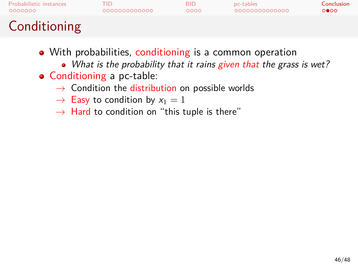# Probabilistic instances TID BID pc-tables Conclusion Conditioning

- With probabilities, conditioning is a common operation
	- *What is the probability that it rains given that the grass is wet?*
- Conditioning a pc-table:
	- *→* Condition the distribution on possible worlds
	- $\rightarrow$  Easy to condition by  $x_1 = 1$
	- *→* Hard to condition on "this tuple is there"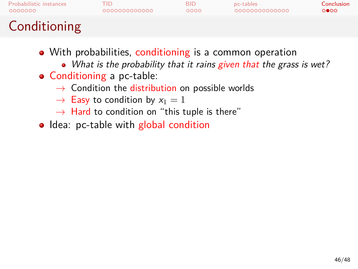# Probabilistic instances TID BID pc-tables Conclusion Conditioning

- With probabilities, conditioning is a common operation
	- *What is the probability that it rains given that the grass is wet?*
- Conditioning a pc-table:
	- *→* Condition the distribution on possible worlds
	- $\rightarrow$  Easy to condition by  $x_1 = 1$
	- *→* Hard to condition on "this tuple is there"
- Idea: pc-table with global condition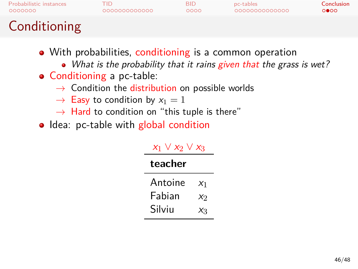# Probabilistic instances TID BID pc-tables Conclusion Conditioning

- With probabilities, conditioning is a common operation
	- *What is the probability that it rains given that the grass is wet?*
- Conditioning a pc-table:
	- *→* Condition the distribution on possible worlds
	- $\rightarrow$  Easy to condition by  $x_1 = 1$
	- *→* Hard to condition on "this tuple is there"
- Idea: pc-table with global condition

#### *x*<sup>1</sup> *∨ x*<sup>2</sup> *∨ x*<sup>3</sup> **teacher**

| -----   |         |
|---------|---------|
| Antoine | $x_1$   |
| Fabian  | $X_{2}$ |
| Silviu  | $X_3$   |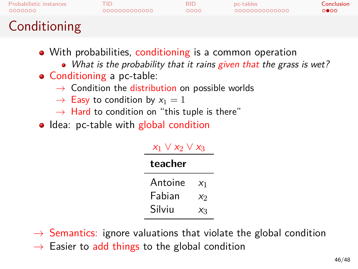| 0000000<br>Conditioning        | 000000000000 | 0000       | 0000000000000 | 0000       |
|--------------------------------|--------------|------------|---------------|------------|
| <b>Probabilistic instances</b> | TID          | <b>BID</b> | pc-tables     | Conclusion |

- With probabilities, conditioning is a common operation
	- *What is the probability that it rains given that the grass is wet?*
- Conditioning a pc-table:
	- *→* Condition the distribution on possible worlds
	- $\rightarrow$  Easy to condition by  $x_1 = 1$
	- *→* Hard to condition on "this tuple is there"
- Idea: pc-table with global condition

#### *x*<sup>1</sup> *∨ x*<sup>2</sup> *∨ x*<sup>3</sup>

#### **teacher**

Antoine  $x_1$ Fabian *x*<sub>2</sub> Silviu *x*<sub>3</sub>

- *→* Semantics: ignore valuations that violate the global condition
- *→* Easier to add things to the global condition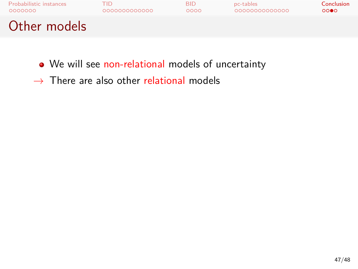

- We will see non-relational models of uncertainty
- *→* There are also other relational models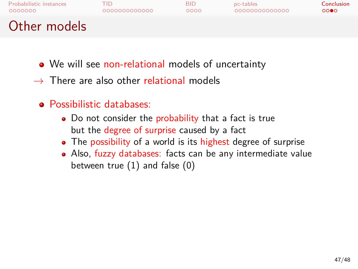# Probabilistic instances TID BID pc-tables Conclusion

### Other models

- We will see non-relational models of uncertainty
- *→* There are also other relational models
- Possibilistic databases:
	- Do not consider the probability that a fact is true but the degree of surprise caused by a fact
	- The possibility of a world is its highest degree of surprise
	- Also, fuzzy databases: facts can be any intermediate value between true (1) and false (0)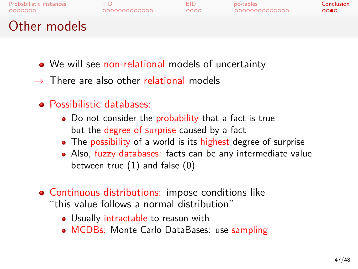## Probabilistic instances TID BID pc-tables Conclusion

## Other models

- We will see non-relational models of uncertainty
- *→* There are also other relational models
- Possibilistic databases:
	- Do not consider the probability that a fact is true but the degree of surprise caused by a fact
	- The possibility of a world is its highest degree of surprise
	- Also, fuzzy databases: facts can be any intermediate value between true (1) and false (0)
- Continuous distributions: impose conditions like "this value follows a normal distribution"
	- Usually intractable to reason with
	- MCDBs: Monte Carlo DataBases: use sampling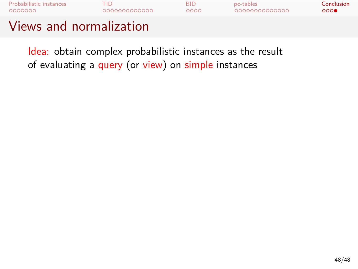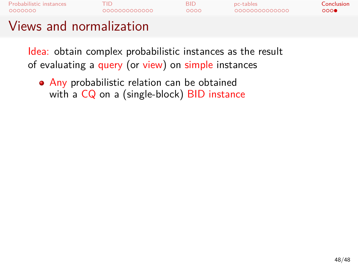

## Views and normalization

Idea: obtain complex probabilistic instances as the result of evaluating a query (or view) on simple instances

Any probabilistic relation can be obtained with a CQ on a (single-block) BID instance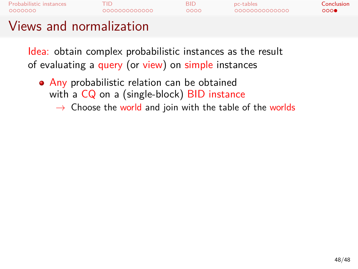

- Any probabilistic relation can be obtained with a CQ on a (single-block) BID instance
	- *→* Choose the world and join with the table of the worlds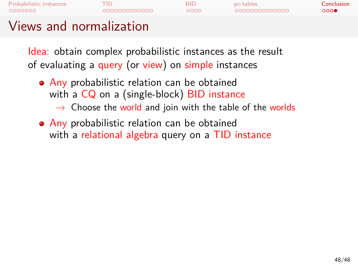# Probabilistic instances TID BID pc-tables Conclusion Views and normalization

- Any probabilistic relation can be obtained with a CQ on a (single-block) BID instance
	- *→* Choose the world and join with the table of the worlds
- Any probabilistic relation can be obtained with a relational algebra query on a TID instance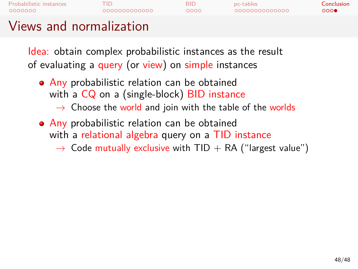

#### Views and normalization

- Any probabilistic relation can be obtained with a CQ on a (single-block) BID instance
	- *→* Choose the world and join with the table of the worlds
- **Any probabilistic relation can be obtained** with a relational algebra query on a TID instance
	- → Code mutually exclusive with TID + RA ("largest value")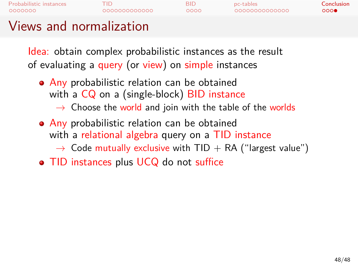

#### Views and normalization

- Any probabilistic relation can be obtained with a CQ on a (single-block) BID instance
	- *→* Choose the world and join with the table of the worlds
- **Any probabilistic relation can be obtained** with a relational algebra query on a TID instance → Code mutually exclusive with TID + RA ("largest value")
	-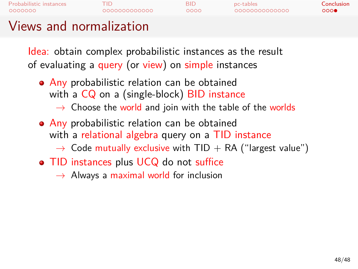# Probabilistic instances TID BID pc-tables Conclusion Views and normalization

- Any probabilistic relation can be obtained with a CQ on a (single-block) BID instance
	- *→* Choose the world and join with the table of the worlds
- **Any probabilistic relation can be obtained** with a relational algebra query on a TID instance → Code mutually exclusive with TID + RA ("largest value")
- TID instances plus UCQ do not suffice
	- *→* Always a maximal world for inclusion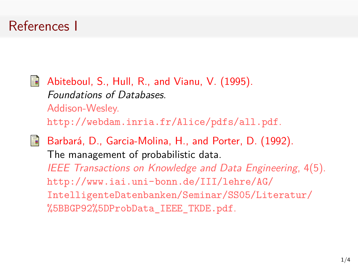### References I

Abiteboul, S., Hull, R., and Vianu, V. (1995). *Foundations of Databases*. Addison-Wesley. http://webdam.inria.fr/Alice/pdfs/all.pdf.

Barbará, D., Garcia-Molina, H., and Porter, D. (1992). The management of probabilistic data. *IEEE Transactions on Knowledge and Data Engineering*, 4(5). http://www.iai.uni-bonn.de/III/lehre/AG/ IntelligenteDatenbanken/Seminar/SS05/Literatur/ %5BBGP92%5DProbData\_IEEE\_TKDE.pdf.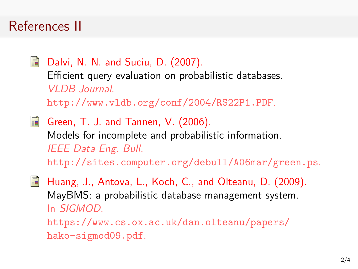## References II

Dalvi, N. N. and Suciu, D. (2007). Efficient query evaluation on probabilistic databases. *VLDB Journal*. http://www.vldb.org/conf/2004/RS22P1.PDF. Green, T. J. and Tannen, V. (2006).

Models for incomplete and probabilistic information. *IEEE Data Eng. Bull.* http://sites.computer.org/debull/A06mar/green.ps.

Huang, J., Antova, L., Koch, C., and Olteanu, D. (2009). MayBMS: a probabilistic database management system. In *SIGMOD*. https://www.cs.ox.ac.uk/dan.olteanu/papers/ hako-sigmod09.pdf.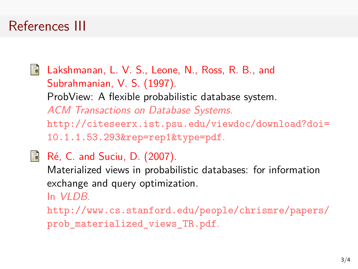## References III

Lakshmanan, L. V. S., Leone, N., Ross, R. B., and Subrahmanian, V. S. (1997). ProbView: A flexible probabilistic database system. *ACM Transactions on Database Systems*. http://citeseerx.ist.psu.edu/viewdoc/download?doi= 10.1.1.53.293&rep=rep1&type=pdf.

Ré, C. and Suciu, D. (2007). Materialized views in probabilistic databases: for information exchange and query optimization. In *VLDB*. http://www.cs.stanford.edu/people/chrismre/papers/ prob\_materialized\_views\_TR.pdf.